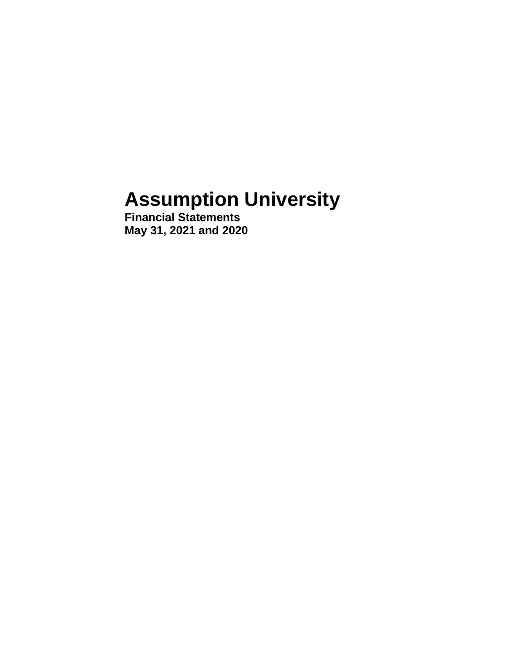# **Assumption University**

**Financial Statements May 31, 2021 and 2020**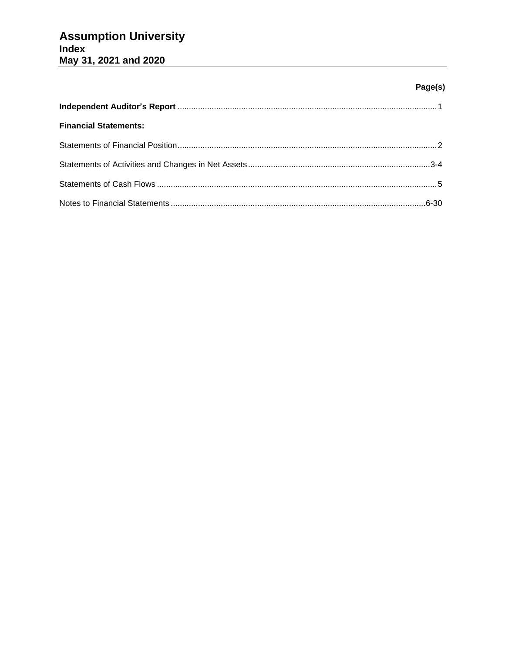# Page(s)

| <b>Financial Statements:</b> |  |
|------------------------------|--|
|                              |  |
|                              |  |
|                              |  |
|                              |  |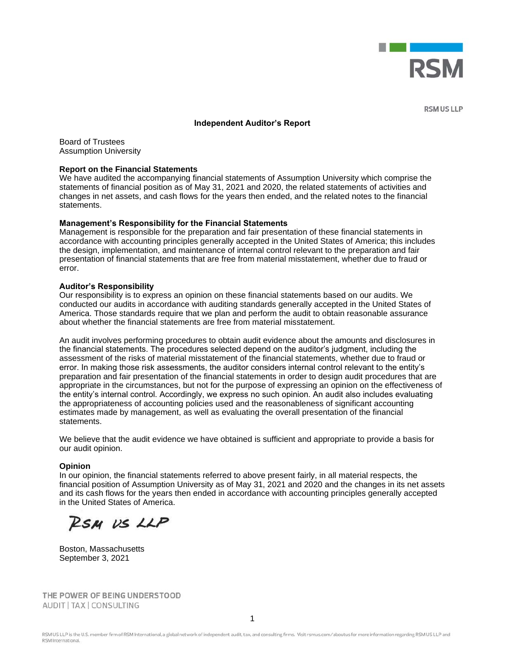

**RSM US LLP** 

#### **Independent Auditor's Report**

Board of Trustees Assumption University

#### **Report on the Financial Statements**

We have audited the accompanying financial statements of Assumption University which comprise the statements of financial position as of May 31, 2021 and 2020, the related statements of activities and changes in net assets, and cash flows for the years then ended, and the related notes to the financial statements.

#### **Management's Responsibility for the Financial Statements**

Management is responsible for the preparation and fair presentation of these financial statements in accordance with accounting principles generally accepted in the United States of America; this includes the design, implementation, and maintenance of internal control relevant to the preparation and fair presentation of financial statements that are free from material misstatement, whether due to fraud or error.

#### **Auditor's Responsibility**

Our responsibility is to express an opinion on these financial statements based on our audits. We conducted our audits in accordance with auditing standards generally accepted in the United States of America. Those standards require that we plan and perform the audit to obtain reasonable assurance about whether the financial statements are free from material misstatement.

An audit involves performing procedures to obtain audit evidence about the amounts and disclosures in the financial statements. The procedures selected depend on the auditor's judgment, including the assessment of the risks of material misstatement of the financial statements, whether due to fraud or error. In making those risk assessments, the auditor considers internal control relevant to the entity's preparation and fair presentation of the financial statements in order to design audit procedures that are appropriate in the circumstances, but not for the purpose of expressing an opinion on the effectiveness of the entity's internal control. Accordingly, we express no such opinion. An audit also includes evaluating the appropriateness of accounting policies used and the reasonableness of significant accounting estimates made by management, as well as evaluating the overall presentation of the financial statements.

We believe that the audit evidence we have obtained is sufficient and appropriate to provide a basis for our audit opinion.

#### **Opinion**

In our opinion, the financial statements referred to above present fairly, in all material respects, the financial position of Assumption University as of May 31, 2021 and 2020 and the changes in its net assets and its cash flows for the years then ended in accordance with accounting principles generally accepted in the United States of America.

RSM US LLP

Boston, Massachusetts September 3, 2021

THE POWER OF BEING UNDERSTOOD AUDIT | TAX | CONSULTING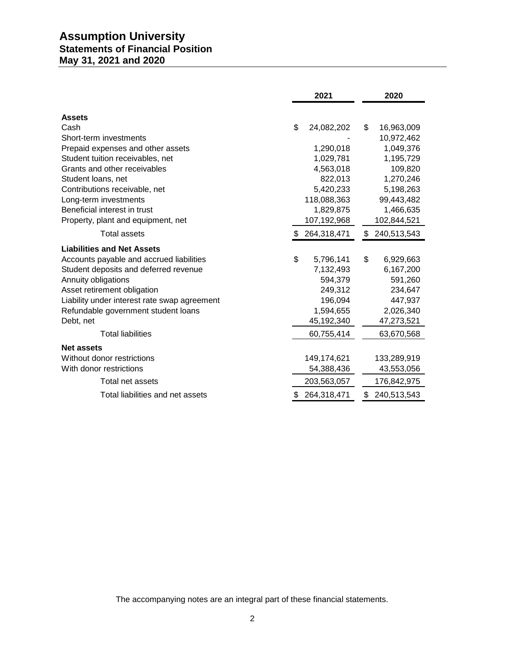# **Assumption University Statements of Financial Position May 31, 2021 and 2020**

|                                              | 2021 |                |    | 2020          |  |
|----------------------------------------------|------|----------------|----|---------------|--|
|                                              |      |                |    |               |  |
| <b>Assets</b>                                |      |                |    |               |  |
| Cash                                         | \$   | 24,082,202     | \$ | 16,963,009    |  |
| Short-term investments                       |      |                |    | 10,972,462    |  |
| Prepaid expenses and other assets            |      | 1,290,018      |    | 1,049,376     |  |
| Student tuition receivables, net             |      | 1,029,781      |    | 1,195,729     |  |
| Grants and other receivables                 |      | 4,563,018      |    | 109,820       |  |
| Student loans, net                           |      | 822,013        |    | 1,270,246     |  |
| Contributions receivable, net                |      | 5,420,233      |    | 5,198,263     |  |
| Long-term investments                        |      | 118,088,363    |    | 99,443,482    |  |
| Beneficial interest in trust                 |      | 1,829,875      |    | 1,466,635     |  |
| Property, plant and equipment, net           |      | 107,192,968    |    | 102,844,521   |  |
| <b>Total assets</b>                          |      | \$ 264,318,471 |    | \$240,513,543 |  |
| <b>Liabilities and Net Assets</b>            |      |                |    |               |  |
| Accounts payable and accrued liabilities     | \$   | 5,796,141      | \$ | 6,929,663     |  |
| Student deposits and deferred revenue        |      | 7,132,493      |    | 6,167,200     |  |
| Annuity obligations                          |      | 594,379        |    | 591,260       |  |
| Asset retirement obligation                  |      | 249,312        |    | 234,647       |  |
| Liability under interest rate swap agreement |      | 196,094        |    | 447,937       |  |
| Refundable government student loans          |      | 1,594,655      |    | 2,026,340     |  |
| Debt, net                                    |      | 45,192,340     |    | 47,273,521    |  |
| <b>Total liabilities</b>                     |      | 60,755,414     |    | 63,670,568    |  |
| <b>Net assets</b>                            |      |                |    |               |  |
| Without donor restrictions                   |      | 149,174,621    |    | 133,289,919   |  |
| With donor restrictions                      |      | 54,388,436     |    | 43,553,056    |  |
| Total net assets                             |      | 203,563,057    |    | 176,842,975   |  |
| Total liabilities and net assets             | \$   | 264,318,471    | \$ | 240,513,543   |  |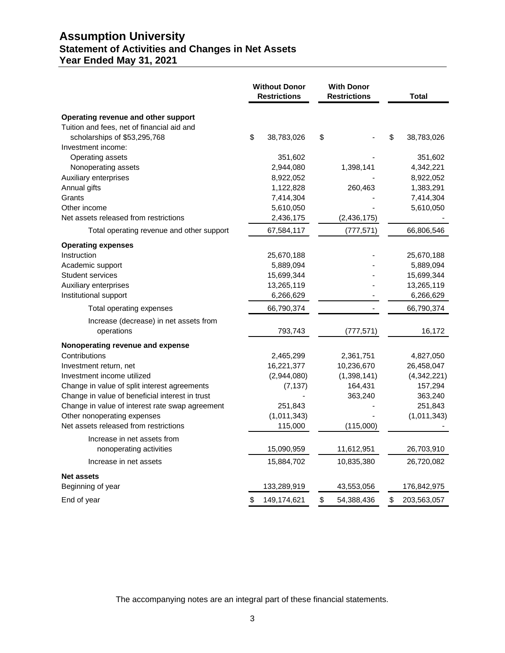# **Assumption University Statement of Activities and Changes in Net Assets Year Ended May 31, 2021**

|                                                 | <b>Without Donor</b><br><b>Restrictions</b> | <b>With Donor</b><br><b>Restrictions</b> | Total             |
|-------------------------------------------------|---------------------------------------------|------------------------------------------|-------------------|
| Operating revenue and other support             |                                             |                                          |                   |
| Tuition and fees, net of financial aid and      |                                             |                                          |                   |
| scholarships of \$53,295,768                    | \$<br>38,783,026                            | \$                                       | \$<br>38,783,026  |
| Investment income:                              |                                             |                                          |                   |
| Operating assets                                | 351,602                                     |                                          | 351,602           |
| Nonoperating assets                             | 2,944,080                                   | 1,398,141                                | 4,342,221         |
| Auxiliary enterprises                           | 8,922,052                                   |                                          | 8,922,052         |
| Annual gifts                                    | 1,122,828                                   | 260,463                                  | 1,383,291         |
| Grants                                          | 7,414,304                                   |                                          | 7,414,304         |
| Other income                                    | 5,610,050                                   |                                          | 5,610,050         |
| Net assets released from restrictions           | 2,436,175                                   | (2, 436, 175)                            |                   |
| Total operating revenue and other support       | 67,584,117                                  | (777, 571)                               | 66,806,546        |
| <b>Operating expenses</b>                       |                                             |                                          |                   |
| Instruction                                     | 25,670,188                                  |                                          | 25,670,188        |
| Academic support                                | 5,889,094                                   |                                          | 5,889,094         |
| <b>Student services</b>                         | 15,699,344                                  |                                          | 15,699,344        |
| Auxiliary enterprises                           | 13,265,119                                  |                                          | 13,265,119        |
| Institutional support                           | 6,266,629                                   |                                          | 6,266,629         |
| Total operating expenses                        | 66,790,374                                  |                                          | 66,790,374        |
| Increase (decrease) in net assets from          |                                             |                                          |                   |
| operations                                      | 793,743                                     | (777, 571)                               | 16,172            |
| Nonoperating revenue and expense                |                                             |                                          |                   |
| Contributions                                   | 2,465,299                                   | 2,361,751                                | 4,827,050         |
| Investment return, net                          | 16,221,377                                  | 10,236,670                               | 26,458,047        |
| Investment income utilized                      | (2,944,080)                                 | (1,398,141)                              | (4,342,221)       |
| Change in value of split interest agreements    | (7, 137)                                    | 164,431                                  | 157,294           |
| Change in value of beneficial interest in trust |                                             | 363,240                                  | 363,240           |
| Change in value of interest rate swap agreement | 251,843                                     |                                          | 251,843           |
| Other nonoperating expenses                     | (1,011,343)                                 |                                          | (1,011,343)       |
| Net assets released from restrictions           | 115,000                                     | (115,000)                                |                   |
| Increase in net assets from                     |                                             |                                          |                   |
| nonoperating activities                         | 15,090,959                                  | 11,612,951                               | 26,703,910        |
| Increase in net assets                          | 15,884,702                                  | 10,835,380                               | 26,720,082        |
| <b>Net assets</b>                               |                                             |                                          |                   |
| Beginning of year                               | 133,289,919                                 | 43,553,056                               | 176,842,975       |
| End of year                                     | \$<br>149,174,621                           | \$<br>54,388,436                         | \$<br>203,563,057 |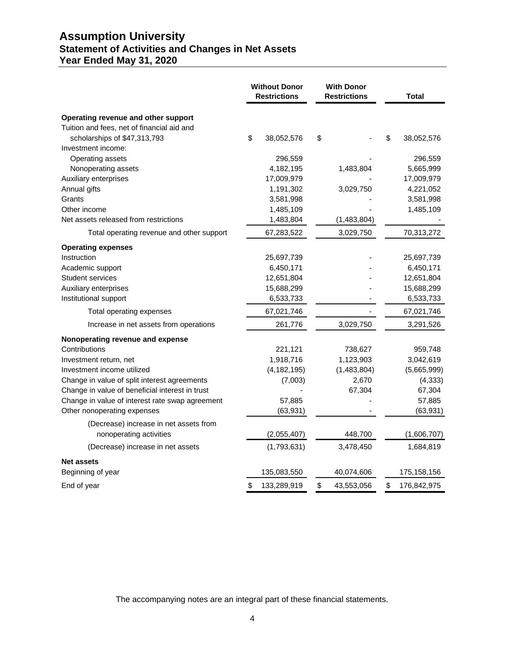# **Assumption University Statement of Activities and Changes in Net Assets Year Ended May 31, 2020**

|                                                 | <b>Without Donor</b><br><b>Restrictions</b> |               | <b>With Donor</b><br><b>Restrictions</b> |             | Total             |
|-------------------------------------------------|---------------------------------------------|---------------|------------------------------------------|-------------|-------------------|
| Operating revenue and other support             |                                             |               |                                          |             |                   |
| Tuition and fees, net of financial aid and      |                                             |               |                                          |             |                   |
| scholarships of \$47,313,793                    | \$                                          | 38,052,576    | \$                                       |             | \$<br>38,052,576  |
| Investment income:                              |                                             |               |                                          |             |                   |
| Operating assets                                |                                             | 296,559       |                                          |             | 296,559           |
| Nonoperating assets                             |                                             | 4,182,195     |                                          | 1,483,804   | 5,665,999         |
| Auxiliary enterprises                           |                                             | 17,009,979    |                                          |             | 17,009,979        |
| Annual gifts                                    |                                             | 1,191,302     |                                          | 3,029,750   | 4,221,052         |
| Grants                                          |                                             | 3,581,998     |                                          |             | 3,581,998         |
| Other income                                    |                                             | 1,485,109     |                                          |             | 1,485,109         |
| Net assets released from restrictions           |                                             | 1,483,804     |                                          | (1,483,804) |                   |
| Total operating revenue and other support       |                                             | 67,283,522    |                                          | 3,029,750   | 70,313,272        |
| <b>Operating expenses</b>                       |                                             |               |                                          |             |                   |
| Instruction                                     |                                             | 25,697,739    |                                          |             | 25,697,739        |
| Academic support                                |                                             | 6,450,171     |                                          |             | 6,450,171         |
| <b>Student services</b>                         |                                             | 12,651,804    |                                          |             | 12,651,804        |
| Auxiliary enterprises                           |                                             | 15,688,299    |                                          |             | 15,688,299        |
| Institutional support                           |                                             | 6,533,733     |                                          |             | 6,533,733         |
| Total operating expenses                        |                                             | 67,021,746    |                                          |             | 67,021,746        |
| Increase in net assets from operations          |                                             | 261,776       |                                          | 3,029,750   | 3,291,526         |
| Nonoperating revenue and expense                |                                             |               |                                          |             |                   |
| Contributions                                   |                                             | 221,121       |                                          | 738,627     | 959,748           |
| Investment return, net                          |                                             | 1,918,716     |                                          | 1,123,903   | 3,042,619         |
| Investment income utilized                      |                                             | (4, 182, 195) |                                          | (1,483,804) | (5,665,999)       |
| Change in value of split interest agreements    |                                             | (7,003)       |                                          | 2,670       | (4, 333)          |
| Change in value of beneficial interest in trust |                                             |               |                                          | 67,304      | 67,304            |
| Change in value of interest rate swap agreement |                                             | 57,885        |                                          |             | 57,885            |
| Other nonoperating expenses                     |                                             | (63, 931)     |                                          |             | (63, 931)         |
| (Decrease) increase in net assets from          |                                             |               |                                          |             |                   |
| nonoperating activities                         |                                             | (2,055,407)   |                                          | 448,700     | (1,606,707)       |
| (Decrease) increase in net assets               |                                             | (1,793,631)   |                                          | 3,478,450   | 1,684,819         |
| <b>Net assets</b>                               |                                             |               |                                          |             |                   |
| Beginning of year                               |                                             | 135,083,550   |                                          | 40,074,606  | 175, 158, 156     |
| End of year                                     | \$                                          | 133,289,919   | \$                                       | 43,553,056  | \$<br>176,842,975 |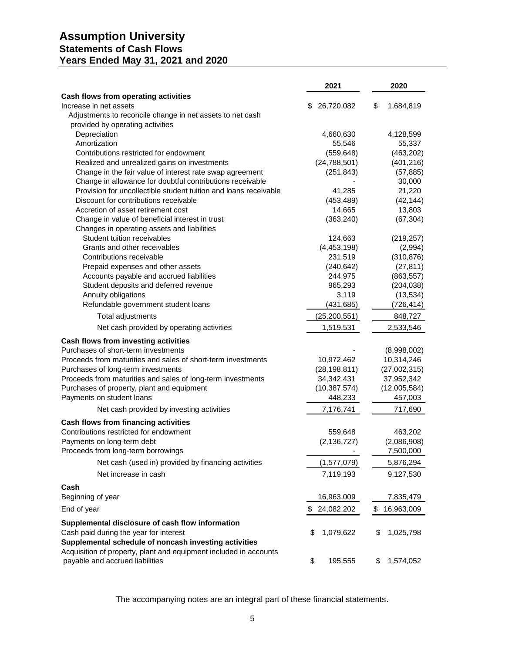# **Assumption University Statements of Cash Flows Years Ended May 31, 2021 and 2020**

|                                                                         | 2021                 | 2020                 |
|-------------------------------------------------------------------------|----------------------|----------------------|
| Cash flows from operating activities                                    |                      |                      |
| Increase in net assets                                                  | 26,720,082<br>S      | \$<br>1,684,819      |
| Adjustments to reconcile change in net assets to net cash               |                      |                      |
| provided by operating activities                                        |                      |                      |
| Depreciation<br>Amortization                                            | 4,660,630            | 4,128,599            |
| Contributions restricted for endowment                                  | 55,546<br>(559, 648) | 55,337<br>(463, 202) |
| Realized and unrealized gains on investments                            | (24, 788, 501)       | (401, 216)           |
| Change in the fair value of interest rate swap agreement                | (251, 843)           | (57, 885)            |
| Change in allowance for doubtful contributions receivable               |                      | 30,000               |
| Provision for uncollectible student tuition and loans receivable        | 41,285               | 21,220               |
| Discount for contributions receivable                                   | (453, 489)           | (42, 144)            |
| Accretion of asset retirement cost                                      | 14,665               | 13,803               |
| Change in value of beneficial interest in trust                         | (363, 240)           | (67, 304)            |
| Changes in operating assets and liabilities                             |                      |                      |
| Student tuition receivables                                             | 124,663              | (219, 257)           |
| Grants and other receivables                                            | (4,453,198)          | (2,994)              |
| Contributions receivable                                                | 231,519              | (310, 876)           |
| Prepaid expenses and other assets                                       | (240, 642)           | (27, 811)            |
| Accounts payable and accrued liabilities                                | 244,975              | (863, 557)           |
| Student deposits and deferred revenue                                   | 965,293              | (204, 038)           |
| Annuity obligations                                                     | 3,119                | (13, 534)            |
| Refundable government student loans                                     | (431, 685)           | (726, 414)           |
| Total adjustments                                                       | (25, 200, 551)       | 848,727              |
| Net cash provided by operating activities                               | 1,519,531            | 2,533,546            |
| Cash flows from investing activities                                    |                      |                      |
| Purchases of short-term investments                                     |                      | (8,998,002)          |
| Proceeds from maturities and sales of short-term investments            | 10,972,462           | 10,314,246           |
| Purchases of long-term investments                                      | (28, 198, 811)       | (27,002,315)         |
| Proceeds from maturities and sales of long-term investments             | 34, 342, 431         | 37,952,342           |
| Purchases of property, plant and equipment<br>Payments on student loans | (10, 387, 574)       | (12,005,584)         |
|                                                                         | 448,233              | 457,003              |
| Net cash provided by investing activities                               | 7,176,741            | 717,690              |
| Cash flows from financing activities                                    |                      |                      |
| Contributions restricted for endowment                                  | 559,648              | 463,202              |
| Payments on long-term debt                                              | (2, 136, 727)        | (2,086,908)          |
| Proceeds from long-term borrowings                                      |                      | 7,500,000            |
| Net cash (used in) provided by financing activities                     | (1, 577, 079)        | 5,876,294            |
| Net increase in cash                                                    | 7,119,193            | 9,127,530            |
| Cash                                                                    |                      |                      |
| Beginning of year                                                       | 16,963,009           | 7,835,479            |
| End of year                                                             | \$<br>24,082,202     | 16,963,009<br>\$     |
| Supplemental disclosure of cash flow information                        |                      |                      |
| Cash paid during the year for interest                                  | \$<br>1,079,622      | \$<br>1,025,798      |
| Supplemental schedule of noncash investing activities                   |                      |                      |
| Acquisition of property, plant and equipment included in accounts       |                      |                      |
| payable and accrued liabilities                                         | \$<br>195,555        | \$<br>1,574,052      |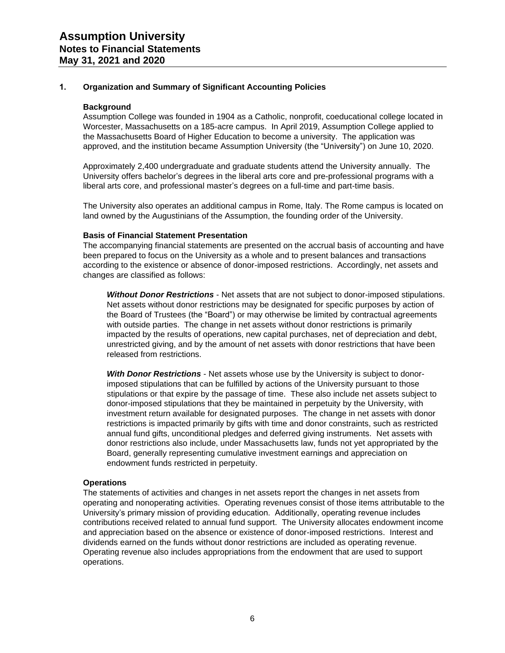## **1. Organization and Summary of Significant Accounting Policies**

#### **Background**

Assumption College was founded in 1904 as a Catholic, nonprofit, coeducational college located in Worcester, Massachusetts on a 185-acre campus. In April 2019, Assumption College applied to the Massachusetts Board of Higher Education to become a university. The application was approved, and the institution became Assumption University (the "University") on June 10, 2020.

Approximately 2,400 undergraduate and graduate students attend the University annually. The University offers bachelor's degrees in the liberal arts core and pre-professional programs with a liberal arts core, and professional master's degrees on a full-time and part-time basis.

The University also operates an additional campus in Rome, Italy. The Rome campus is located on land owned by the Augustinians of the Assumption, the founding order of the University.

#### **Basis of Financial Statement Presentation**

The accompanying financial statements are presented on the accrual basis of accounting and have been prepared to focus on the University as a whole and to present balances and transactions according to the existence or absence of donor-imposed restrictions. Accordingly, net assets and changes are classified as follows:

*Without Donor Restrictions* - Net assets that are not subject to donor-imposed stipulations. Net assets without donor restrictions may be designated for specific purposes by action of the Board of Trustees (the "Board") or may otherwise be limited by contractual agreements with outside parties. The change in net assets without donor restrictions is primarily impacted by the results of operations, new capital purchases, net of depreciation and debt, unrestricted giving, and by the amount of net assets with donor restrictions that have been released from restrictions.

*With Donor Restrictions* - Net assets whose use by the University is subject to donorimposed stipulations that can be fulfilled by actions of the University pursuant to those stipulations or that expire by the passage of time. These also include net assets subject to donor-imposed stipulations that they be maintained in perpetuity by the University, with investment return available for designated purposes. The change in net assets with donor restrictions is impacted primarily by gifts with time and donor constraints, such as restricted annual fund gifts, unconditional pledges and deferred giving instruments. Net assets with donor restrictions also include, under Massachusetts law, funds not yet appropriated by the Board, generally representing cumulative investment earnings and appreciation on endowment funds restricted in perpetuity.

#### **Operations**

The statements of activities and changes in net assets report the changes in net assets from operating and nonoperating activities. Operating revenues consist of those items attributable to the University's primary mission of providing education. Additionally, operating revenue includes contributions received related to annual fund support. The University allocates endowment income and appreciation based on the absence or existence of donor-imposed restrictions. Interest and dividends earned on the funds without donor restrictions are included as operating revenue. Operating revenue also includes appropriations from the endowment that are used to support operations.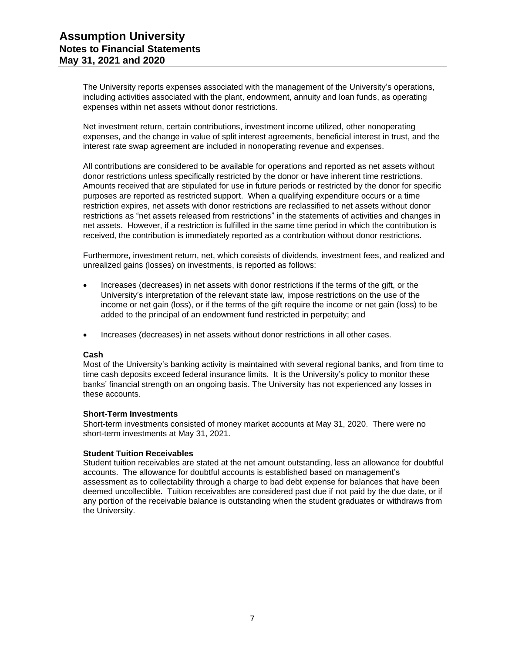The University reports expenses associated with the management of the University's operations, including activities associated with the plant, endowment, annuity and loan funds, as operating expenses within net assets without donor restrictions.

Net investment return, certain contributions, investment income utilized, other nonoperating expenses, and the change in value of split interest agreements, beneficial interest in trust, and the interest rate swap agreement are included in nonoperating revenue and expenses.

All contributions are considered to be available for operations and reported as net assets without donor restrictions unless specifically restricted by the donor or have inherent time restrictions. Amounts received that are stipulated for use in future periods or restricted by the donor for specific purposes are reported as restricted support. When a qualifying expenditure occurs or a time restriction expires, net assets with donor restrictions are reclassified to net assets without donor restrictions as "net assets released from restrictions" in the statements of activities and changes in net assets. However, if a restriction is fulfilled in the same time period in which the contribution is received, the contribution is immediately reported as a contribution without donor restrictions.

Furthermore, investment return, net, which consists of dividends, investment fees, and realized and unrealized gains (losses) on investments, is reported as follows:

- Increases (decreases) in net assets with donor restrictions if the terms of the gift, or the University's interpretation of the relevant state law, impose restrictions on the use of the income or net gain (loss), or if the terms of the gift require the income or net gain (loss) to be added to the principal of an endowment fund restricted in perpetuity; and
- Increases (decreases) in net assets without donor restrictions in all other cases.

#### **Cash**

Most of the University's banking activity is maintained with several regional banks, and from time to time cash deposits exceed federal insurance limits. It is the University's policy to monitor these banks' financial strength on an ongoing basis. The University has not experienced any losses in these accounts.

#### **Short-Term Investments**

Short-term investments consisted of money market accounts at May 31, 2020. There were no short-term investments at May 31, 2021.

#### **Student Tuition Receivables**

Student tuition receivables are stated at the net amount outstanding, less an allowance for doubtful accounts. The allowance for doubtful accounts is established based on management's assessment as to collectability through a charge to bad debt expense for balances that have been deemed uncollectible. Tuition receivables are considered past due if not paid by the due date, or if any portion of the receivable balance is outstanding when the student graduates or withdraws from the University.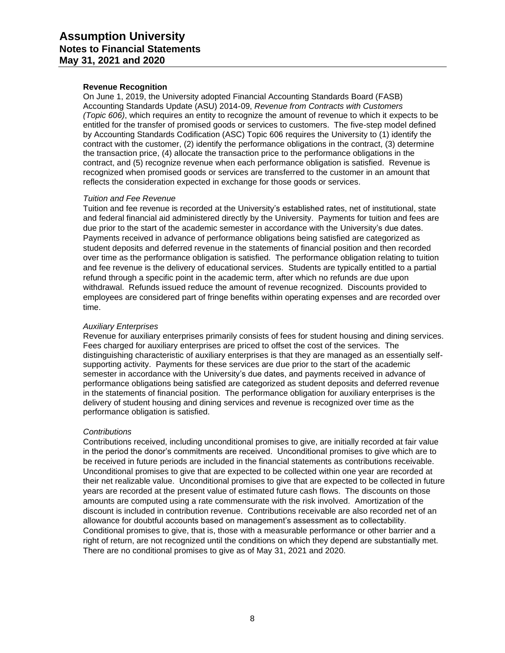#### **Revenue Recognition**

On June 1, 2019, the University adopted Financial Accounting Standards Board (FASB) Accounting Standards Update (ASU) 2014-09, *Revenue from Contracts with Customers (Topic 606)*, which requires an entity to recognize the amount of revenue to which it expects to be entitled for the transfer of promised goods or services to customers. The five-step model defined by Accounting Standards Codification (ASC) Topic 606 requires the University to (1) identify the contract with the customer, (2) identify the performance obligations in the contract, (3) determine the transaction price, (4) allocate the transaction price to the performance obligations in the contract, and (5) recognize revenue when each performance obligation is satisfied. Revenue is recognized when promised goods or services are transferred to the customer in an amount that reflects the consideration expected in exchange for those goods or services.

#### *Tuition and Fee Revenue*

Tuition and fee revenue is recorded at the University's established rates, net of institutional, state and federal financial aid administered directly by the University. Payments for tuition and fees are due prior to the start of the academic semester in accordance with the University's due dates. Payments received in advance of performance obligations being satisfied are categorized as student deposits and deferred revenue in the statements of financial position and then recorded over time as the performance obligation is satisfied. The performance obligation relating to tuition and fee revenue is the delivery of educational services. Students are typically entitled to a partial refund through a specific point in the academic term, after which no refunds are due upon withdrawal. Refunds issued reduce the amount of revenue recognized. Discounts provided to employees are considered part of fringe benefits within operating expenses and are recorded over time.

#### *Auxiliary Enterprises*

Revenue for auxiliary enterprises primarily consists of fees for student housing and dining services. Fees charged for auxiliary enterprises are priced to offset the cost of the services. The distinguishing characteristic of auxiliary enterprises is that they are managed as an essentially selfsupporting activity. Payments for these services are due prior to the start of the academic semester in accordance with the University's due dates, and payments received in advance of performance obligations being satisfied are categorized as student deposits and deferred revenue in the statements of financial position. The performance obligation for auxiliary enterprises is the delivery of student housing and dining services and revenue is recognized over time as the performance obligation is satisfied.

#### *Contributions*

Contributions received, including unconditional promises to give, are initially recorded at fair value in the period the donor's commitments are received. Unconditional promises to give which are to be received in future periods are included in the financial statements as contributions receivable. Unconditional promises to give that are expected to be collected within one year are recorded at their net realizable value. Unconditional promises to give that are expected to be collected in future years are recorded at the present value of estimated future cash flows. The discounts on those amounts are computed using a rate commensurate with the risk involved. Amortization of the discount is included in contribution revenue. Contributions receivable are also recorded net of an allowance for doubtful accounts based on management's assessment as to collectability. Conditional promises to give, that is, those with a measurable performance or other barrier and a right of return, are not recognized until the conditions on which they depend are substantially met. There are no conditional promises to give as of May 31, 2021 and 2020.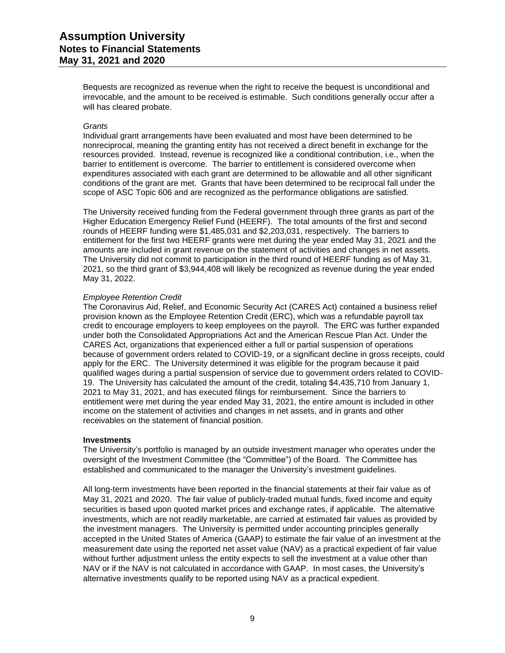Bequests are recognized as revenue when the right to receive the bequest is unconditional and irrevocable, and the amount to be received is estimable. Such conditions generally occur after a will has cleared probate.

#### *Grants*

Individual grant arrangements have been evaluated and most have been determined to be nonreciprocal, meaning the granting entity has not received a direct benefit in exchange for the resources provided. Instead, revenue is recognized like a conditional contribution, i.e., when the barrier to entitlement is overcome. The barrier to entitlement is considered overcome when expenditures associated with each grant are determined to be allowable and all other significant conditions of the grant are met. Grants that have been determined to be reciprocal fall under the scope of ASC Topic 606 and are recognized as the performance obligations are satisfied.

The University received funding from the Federal government through three grants as part of the Higher Education Emergency Relief Fund (HEERF). The total amounts of the first and second rounds of HEERF funding were \$1,485,031 and \$2,203,031, respectively. The barriers to entitlement for the first two HEERF grants were met during the year ended May 31, 2021 and the amounts are included in grant revenue on the statement of activities and changes in net assets. The University did not commit to participation in the third round of HEERF funding as of May 31, 2021, so the third grant of \$3,944,408 will likely be recognized as revenue during the year ended May 31, 2022.

#### *Employee Retention Credit*

The Coronavirus Aid, Relief, and Economic Security Act (CARES Act) contained a business relief provision known as the Employee Retention Credit (ERC), which was a refundable payroll tax credit to encourage employers to keep employees on the payroll. The ERC was further expanded under both the Consolidated Appropriations Act and the American Rescue Plan Act. Under the CARES Act, organizations that experienced either a full or partial suspension of operations because of government orders related to COVID-19, or a significant decline in gross receipts, could apply for the ERC. The University determined it was eligible for the program because it paid qualified wages during a partial suspension of service due to government orders related to COVID-19. The University has calculated the amount of the credit, totaling \$4,435,710 from January 1, 2021 to May 31, 2021, and has executed filings for reimbursement. Since the barriers to entitlement were met during the year ended May 31, 2021, the entire amount is included in other income on the statement of activities and changes in net assets, and in grants and other receivables on the statement of financial position.

#### **Investments**

The University's portfolio is managed by an outside investment manager who operates under the oversight of the Investment Committee (the "Committee") of the Board. The Committee has established and communicated to the manager the University's investment guidelines.

All long-term investments have been reported in the financial statements at their fair value as of May 31, 2021 and 2020. The fair value of publicly-traded mutual funds, fixed income and equity securities is based upon quoted market prices and exchange rates, if applicable. The alternative investments, which are not readily marketable, are carried at estimated fair values as provided by the investment managers. The University is permitted under accounting principles generally accepted in the United States of America (GAAP) to estimate the fair value of an investment at the measurement date using the reported net asset value (NAV) as a practical expedient of fair value without further adjustment unless the entity expects to sell the investment at a value other than NAV or if the NAV is not calculated in accordance with GAAP. In most cases, the University's alternative investments qualify to be reported using NAV as a practical expedient.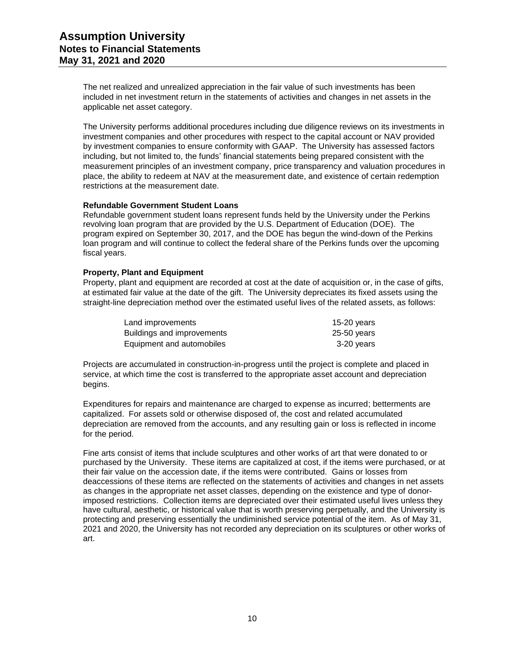The net realized and unrealized appreciation in the fair value of such investments has been included in net investment return in the statements of activities and changes in net assets in the applicable net asset category.

The University performs additional procedures including due diligence reviews on its investments in investment companies and other procedures with respect to the capital account or NAV provided by investment companies to ensure conformity with GAAP. The University has assessed factors including, but not limited to, the funds' financial statements being prepared consistent with the measurement principles of an investment company, price transparency and valuation procedures in place, the ability to redeem at NAV at the measurement date, and existence of certain redemption restrictions at the measurement date.

### **Refundable Government Student Loans**

Refundable government student loans represent funds held by the University under the Perkins revolving loan program that are provided by the U.S. Department of Education (DOE). The program expired on September 30, 2017, and the DOE has begun the wind-down of the Perkins loan program and will continue to collect the federal share of the Perkins funds over the upcoming fiscal years.

### **Property, Plant and Equipment**

Property, plant and equipment are recorded at cost at the date of acquisition or, in the case of gifts, at estimated fair value at the date of the gift. The University depreciates its fixed assets using the straight-line depreciation method over the estimated useful lives of the related assets, as follows:

| Land improvements          | 15-20 years |
|----------------------------|-------------|
| Buildings and improvements | 25-50 years |
| Equipment and automobiles  | 3-20 years  |

Projects are accumulated in construction-in-progress until the project is complete and placed in service, at which time the cost is transferred to the appropriate asset account and depreciation begins.

Expenditures for repairs and maintenance are charged to expense as incurred; betterments are capitalized. For assets sold or otherwise disposed of, the cost and related accumulated depreciation are removed from the accounts, and any resulting gain or loss is reflected in income for the period.

Fine arts consist of items that include sculptures and other works of art that were donated to or purchased by the University. These items are capitalized at cost, if the items were purchased, or at their fair value on the accession date, if the items were contributed. Gains or losses from deaccessions of these items are reflected on the statements of activities and changes in net assets as changes in the appropriate net asset classes, depending on the existence and type of donorimposed restrictions. Collection items are depreciated over their estimated useful lives unless they have cultural, aesthetic, or historical value that is worth preserving perpetually, and the University is protecting and preserving essentially the undiminished service potential of the item. As of May 31, 2021 and 2020, the University has not recorded any depreciation on its sculptures or other works of art.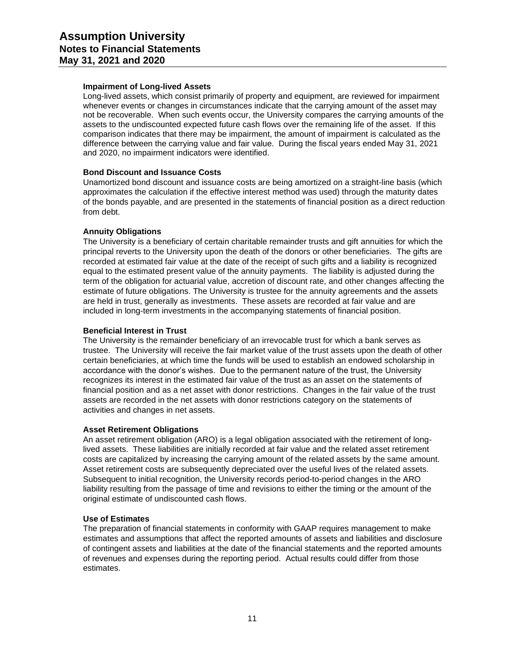#### **Impairment of Long-lived Assets**

Long-lived assets, which consist primarily of property and equipment, are reviewed for impairment whenever events or changes in circumstances indicate that the carrying amount of the asset may not be recoverable. When such events occur, the University compares the carrying amounts of the assets to the undiscounted expected future cash flows over the remaining life of the asset. If this comparison indicates that there may be impairment, the amount of impairment is calculated as the difference between the carrying value and fair value. During the fiscal years ended May 31, 2021 and 2020, no impairment indicators were identified.

#### **Bond Discount and Issuance Costs**

Unamortized bond discount and issuance costs are being amortized on a straight-line basis (which approximates the calculation if the effective interest method was used) through the maturity dates of the bonds payable, and are presented in the statements of financial position as a direct reduction from debt.

#### **Annuity Obligations**

The University is a beneficiary of certain charitable remainder trusts and gift annuities for which the principal reverts to the University upon the death of the donors or other beneficiaries. The gifts are recorded at estimated fair value at the date of the receipt of such gifts and a liability is recognized equal to the estimated present value of the annuity payments. The liability is adjusted during the term of the obligation for actuarial value, accretion of discount rate, and other changes affecting the estimate of future obligations. The University is trustee for the annuity agreements and the assets are held in trust, generally as investments. These assets are recorded at fair value and are included in long-term investments in the accompanying statements of financial position.

#### **Beneficial Interest in Trust**

The University is the remainder beneficiary of an irrevocable trust for which a bank serves as trustee. The University will receive the fair market value of the trust assets upon the death of other certain beneficiaries, at which time the funds will be used to establish an endowed scholarship in accordance with the donor's wishes. Due to the permanent nature of the trust, the University recognizes its interest in the estimated fair value of the trust as an asset on the statements of financial position and as a net asset with donor restrictions. Changes in the fair value of the trust assets are recorded in the net assets with donor restrictions category on the statements of activities and changes in net assets.

#### **Asset Retirement Obligations**

An asset retirement obligation (ARO) is a legal obligation associated with the retirement of longlived assets. These liabilities are initially recorded at fair value and the related asset retirement costs are capitalized by increasing the carrying amount of the related assets by the same amount. Asset retirement costs are subsequently depreciated over the useful lives of the related assets. Subsequent to initial recognition, the University records period-to-period changes in the ARO liability resulting from the passage of time and revisions to either the timing or the amount of the original estimate of undiscounted cash flows.

#### **Use of Estimates**

The preparation of financial statements in conformity with GAAP requires management to make estimates and assumptions that affect the reported amounts of assets and liabilities and disclosure of contingent assets and liabilities at the date of the financial statements and the reported amounts of revenues and expenses during the reporting period. Actual results could differ from those estimates.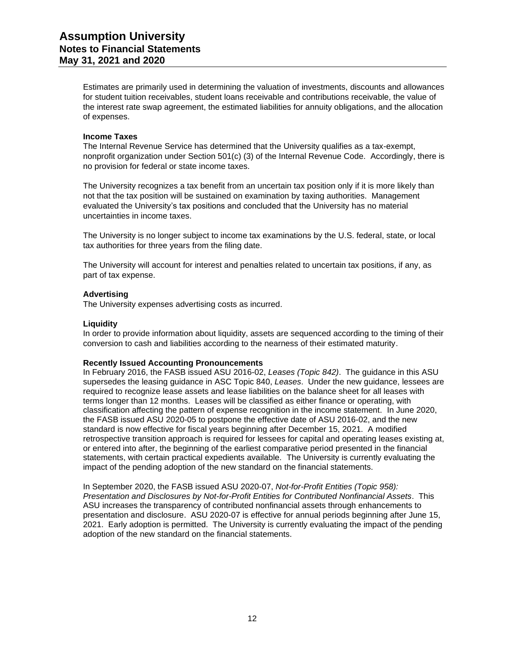Estimates are primarily used in determining the valuation of investments, discounts and allowances for student tuition receivables, student loans receivable and contributions receivable, the value of the interest rate swap agreement, the estimated liabilities for annuity obligations, and the allocation of expenses.

#### **Income Taxes**

The Internal Revenue Service has determined that the University qualifies as a tax-exempt, nonprofit organization under Section 501(c) (3) of the Internal Revenue Code. Accordingly, there is no provision for federal or state income taxes.

The University recognizes a tax benefit from an uncertain tax position only if it is more likely than not that the tax position will be sustained on examination by taxing authorities. Management evaluated the University's tax positions and concluded that the University has no material uncertainties in income taxes.

The University is no longer subject to income tax examinations by the U.S. federal, state, or local tax authorities for three years from the filing date.

The University will account for interest and penalties related to uncertain tax positions, if any, as part of tax expense.

### **Advertising**

The University expenses advertising costs as incurred.

#### **Liquidity**

In order to provide information about liquidity, assets are sequenced according to the timing of their conversion to cash and liabilities according to the nearness of their estimated maturity.

#### **Recently Issued Accounting Pronouncements**

In February 2016, the FASB issued ASU 2016-02, *Leases (Topic 842)*. The guidance in this ASU supersedes the leasing guidance in ASC Topic 840, *Leases*. Under the new guidance, lessees are required to recognize lease assets and lease liabilities on the balance sheet for all leases with terms longer than 12 months. Leases will be classified as either finance or operating, with classification affecting the pattern of expense recognition in the income statement. In June 2020, the FASB issued ASU 2020-05 to postpone the effective date of ASU 2016-02, and the new standard is now effective for fiscal years beginning after December 15, 2021. A modified retrospective transition approach is required for lessees for capital and operating leases existing at, or entered into after, the beginning of the earliest comparative period presented in the financial statements, with certain practical expedients available. The University is currently evaluating the impact of the pending adoption of the new standard on the financial statements.

In September 2020, the FASB issued ASU 2020-07, *Not-for-Profit Entities (Topic 958): Presentation and Disclosures by Not-for-Profit Entities for Contributed Nonfinancial Assets*. This ASU increases the transparency of contributed nonfinancial assets through enhancements to presentation and disclosure. ASU 2020-07 is effective for annual periods beginning after June 15, 2021. Early adoption is permitted. The University is currently evaluating the impact of the pending adoption of the new standard on the financial statements.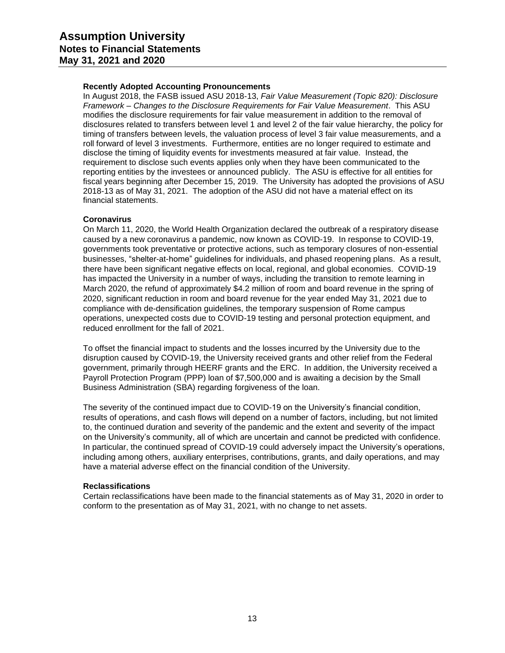## **Recently Adopted Accounting Pronouncements**

In August 2018, the FASB issued ASU 2018-13, *Fair Value Measurement (Topic 820): Disclosure Framework – Changes to the Disclosure Requirements for Fair Value Measurement*. This ASU modifies the disclosure requirements for fair value measurement in addition to the removal of disclosures related to transfers between level 1 and level 2 of the fair value hierarchy, the policy for timing of transfers between levels, the valuation process of level 3 fair value measurements, and a roll forward of level 3 investments. Furthermore, entities are no longer required to estimate and disclose the timing of liquidity events for investments measured at fair value. Instead, the requirement to disclose such events applies only when they have been communicated to the reporting entities by the investees or announced publicly. The ASU is effective for all entities for fiscal years beginning after December 15, 2019. The University has adopted the provisions of ASU 2018-13 as of May 31, 2021. The adoption of the ASU did not have a material effect on its financial statements.

### **Coronavirus**

On March 11, 2020, the World Health Organization declared the outbreak of a respiratory disease caused by a new coronavirus a pandemic, now known as COVID-19. In response to COVID-19, governments took preventative or protective actions, such as temporary closures of non-essential businesses, "shelter-at-home" guidelines for individuals, and phased reopening plans. As a result, there have been significant negative effects on local, regional, and global economies. COVID-19 has impacted the University in a number of ways, including the transition to remote learning in March 2020, the refund of approximately \$4.2 million of room and board revenue in the spring of 2020, significant reduction in room and board revenue for the year ended May 31, 2021 due to compliance with de-densification guidelines, the temporary suspension of Rome campus operations, unexpected costs due to COVID-19 testing and personal protection equipment, and reduced enrollment for the fall of 2021.

To offset the financial impact to students and the losses incurred by the University due to the disruption caused by COVID-19, the University received grants and other relief from the Federal government, primarily through HEERF grants and the ERC. In addition, the University received a Payroll Protection Program (PPP) loan of \$7,500,000 and is awaiting a decision by the Small Business Administration (SBA) regarding forgiveness of the loan.

The severity of the continued impact due to COVID-19 on the University's financial condition, results of operations, and cash flows will depend on a number of factors, including, but not limited to, the continued duration and severity of the pandemic and the extent and severity of the impact on the University's community, all of which are uncertain and cannot be predicted with confidence. In particular, the continued spread of COVID-19 could adversely impact the University's operations, including among others, auxiliary enterprises, contributions, grants, and daily operations, and may have a material adverse effect on the financial condition of the University.

#### **Reclassifications**

Certain reclassifications have been made to the financial statements as of May 31, 2020 in order to conform to the presentation as of May 31, 2021, with no change to net assets.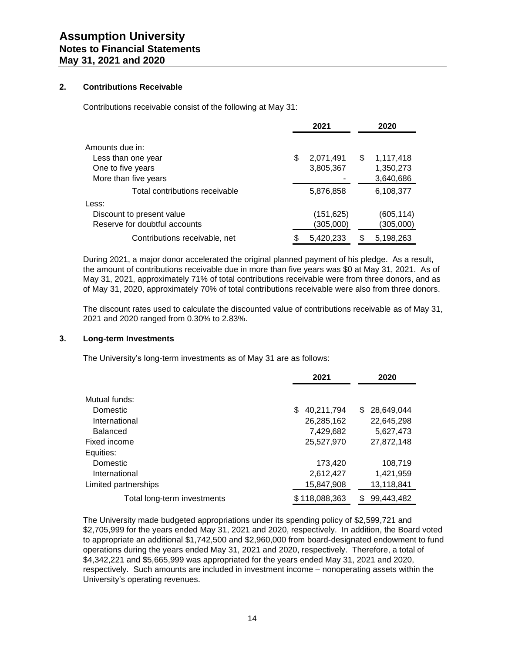# **2. Contributions Receivable**

Contributions receivable consist of the following at May 31:

|                                |   | 2021       |   | 2020       |
|--------------------------------|---|------------|---|------------|
| Amounts due in:                |   |            |   |            |
| Less than one year             | S | 2,071,491  | S | 1,117,418  |
| One to five years              |   | 3,805,367  |   | 1,350,273  |
| More than five years           |   |            |   | 3,640,686  |
| Total contributions receivable |   | 5,876,858  |   | 6,108,377  |
| Less:                          |   |            |   |            |
| Discount to present value      |   | (151, 625) |   | (605, 114) |
| Reserve for doubtful accounts  |   | (305,000)  |   | (305,000)  |
| Contributions receivable, net  |   | 5,420,233  |   | 5,198,263  |

During 2021, a major donor accelerated the original planned payment of his pledge. As a result, the amount of contributions receivable due in more than five years was \$0 at May 31, 2021. As of May 31, 2021, approximately 71% of total contributions receivable were from three donors, and as of May 31, 2020, approximately 70% of total contributions receivable were also from three donors.

The discount rates used to calculate the discounted value of contributions receivable as of May 31, 2021 and 2020 ranged from 0.30% to 2.83%.

#### **3. Long-term Investments**

The University's long-term investments as of May 31 are as follows:

|                             | 2021              | 2020              |
|-----------------------------|-------------------|-------------------|
| Mutual funds:               |                   |                   |
| Domestic                    | 40,211,794<br>\$. | 28,649,044<br>SS. |
| International               | 26,285,162        | 22,645,298        |
| <b>Balanced</b>             | 7,429,682         | 5,627,473         |
| Fixed income                | 25,527,970        | 27,872,148        |
| Equities:                   |                   |                   |
| Domestic                    | 173,420           | 108,719           |
| International               | 2,612,427         | 1,421,959         |
| Limited partnerships        | 15,847,908        | 13,118,841        |
| Total long-term investments | \$118,088,363     | 99,443,482        |

The University made budgeted appropriations under its spending policy of \$2,599,721 and \$2,705,999 for the years ended May 31, 2021 and 2020, respectively. In addition, the Board voted to appropriate an additional \$1,742,500 and \$2,960,000 from board-designated endowment to fund operations during the years ended May 31, 2021 and 2020, respectively. Therefore, a total of \$4,342,221 and \$5,665,999 was appropriated for the years ended May 31, 2021 and 2020, respectively. Such amounts are included in investment income – nonoperating assets within the University's operating revenues.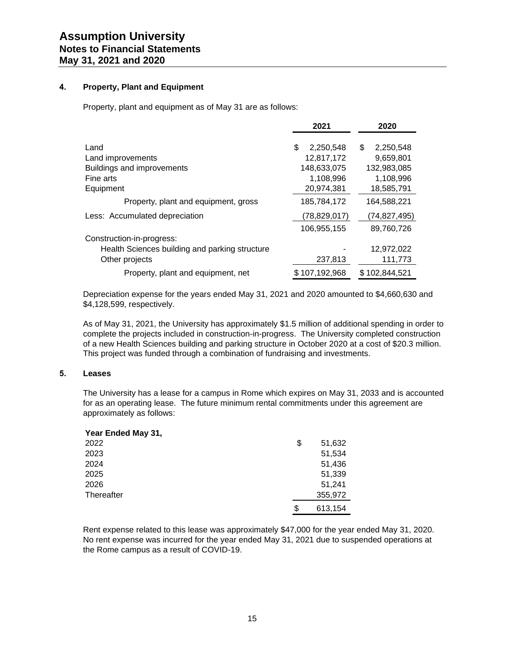## **4. Property, Plant and Equipment**

Property, plant and equipment as of May 31 are as follows:

|                                                | 2021            | 2020            |
|------------------------------------------------|-----------------|-----------------|
|                                                |                 |                 |
| Land                                           | \$<br>2,250,548 | \$<br>2,250,548 |
| Land improvements                              | 12,817,172      | 9,659,801       |
| Buildings and improvements                     | 148,633,075     | 132,983,085     |
| Fine arts                                      | 1,108,996       | 1,108,996       |
| Equipment                                      | 20,974,381      | 18,585,791      |
| Property, plant and equipment, gross           | 185,784,172     | 164,588,221     |
| Less: Accumulated depreciation                 | (78,829,017)    | (74,827,495)    |
|                                                | 106,955,155     | 89,760,726      |
| Construction-in-progress:                      |                 |                 |
| Health Sciences building and parking structure |                 | 12,972,022      |
| Other projects                                 | 237,813         | 111,773         |
| Property, plant and equipment, net             | \$107,192,968   | \$102,844,521   |

Depreciation expense for the years ended May 31, 2021 and 2020 amounted to \$4,660,630 and \$4,128,599, respectively.

As of May 31, 2021, the University has approximately \$1.5 million of additional spending in order to complete the projects included in construction-in-progress. The University completed construction of a new Health Sciences building and parking structure in October 2020 at a cost of \$20.3 million. This project was funded through a combination of fundraising and investments.

#### **5. Leases**

The University has a lease for a campus in Rome which expires on May 31, 2033 and is accounted for as an operating lease. The future minimum rental commitments under this agreement are approximately as follows:

| Year Ended May 31, |               |
|--------------------|---------------|
| 2022               | \$<br>51,632  |
| 2023               | 51,534        |
| 2024               | 51,436        |
| 2025               | 51,339        |
| 2026               | 51,241        |
| Thereafter         | 355,972       |
|                    | \$<br>613,154 |

Rent expense related to this lease was approximately \$47,000 for the year ended May 31, 2020. No rent expense was incurred for the year ended May 31, 2021 due to suspended operations at the Rome campus as a result of COVID-19.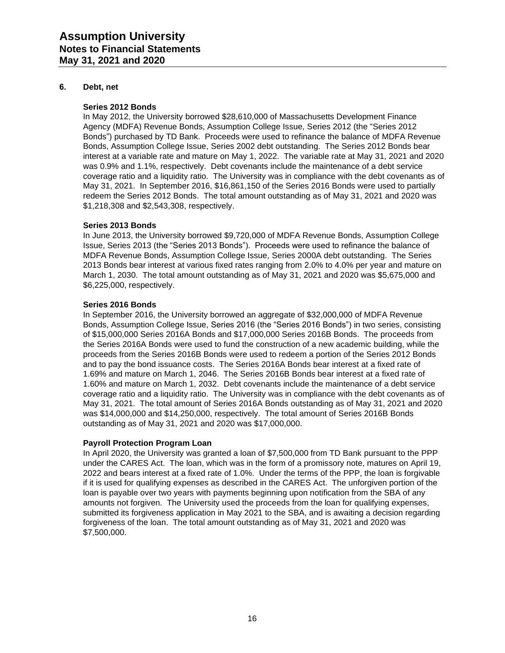#### **6. Debt, net**

#### **Series 2012 Bonds**

In May 2012, the University borrowed \$28,610,000 of Massachusetts Development Finance Agency (MDFA) Revenue Bonds, Assumption College Issue, Series 2012 (the "Series 2012 Bonds") purchased by TD Bank. Proceeds were used to refinance the balance of MDFA Revenue Bonds, Assumption College Issue, Series 2002 debt outstanding. The Series 2012 Bonds bear interest at a variable rate and mature on May 1, 2022. The variable rate at May 31, 2021 and 2020 was 0.9% and 1.1%, respectively. Debt covenants include the maintenance of a debt service coverage ratio and a liquidity ratio. The University was in compliance with the debt covenants as of May 31, 2021. In September 2016, \$16,861,150 of the Series 2016 Bonds were used to partially redeem the Series 2012 Bonds. The total amount outstanding as of May 31, 2021 and 2020 was \$1,218,308 and \$2,543,308, respectively.

### **Series 2013 Bonds**

In June 2013, the University borrowed \$9,720,000 of MDFA Revenue Bonds, Assumption College Issue, Series 2013 (the "Series 2013 Bonds"). Proceeds were used to refinance the balance of MDFA Revenue Bonds, Assumption College Issue, Series 2000A debt outstanding. The Series 2013 Bonds bear interest at various fixed rates ranging from 2.0% to 4.0% per year and mature on March 1, 2030. The total amount outstanding as of May 31, 2021 and 2020 was \$5,675,000 and \$6,225,000, respectively.

### **Series 2016 Bonds**

In September 2016, the University borrowed an aggregate of \$32,000,000 of MDFA Revenue Bonds, Assumption College Issue, Series 2016 (the "Series 2016 Bonds") in two series, consisting of \$15,000,000 Series 2016A Bonds and \$17,000,000 Series 2016B Bonds. The proceeds from the Series 2016A Bonds were used to fund the construction of a new academic building, while the proceeds from the Series 2016B Bonds were used to redeem a portion of the Series 2012 Bonds and to pay the bond issuance costs. The Series 2016A Bonds bear interest at a fixed rate of 1.69% and mature on March 1, 2046. The Series 2016B Bonds bear interest at a fixed rate of 1.60% and mature on March 1, 2032. Debt covenants include the maintenance of a debt service coverage ratio and a liquidity ratio. The University was in compliance with the debt covenants as of May 31, 2021. The total amount of Series 2016A Bonds outstanding as of May 31, 2021 and 2020 was \$14,000,000 and \$14,250,000, respectively. The total amount of Series 2016B Bonds outstanding as of May 31, 2021 and 2020 was \$17,000,000.

## **Payroll Protection Program Loan**

In April 2020, the University was granted a loan of \$7,500,000 from TD Bank pursuant to the PPP under the CARES Act. The loan, which was in the form of a promissory note, matures on April 19, 2022 and bears interest at a fixed rate of 1.0%. Under the terms of the PPP, the loan is forgivable if it is used for qualifying expenses as described in the CARES Act. The unforgiven portion of the loan is payable over two years with payments beginning upon notification from the SBA of any amounts not forgiven. The University used the proceeds from the loan for qualifying expenses, submitted its forgiveness application in May 2021 to the SBA, and is awaiting a decision regarding forgiveness of the loan. The total amount outstanding as of May 31, 2021 and 2020 was \$7,500,000.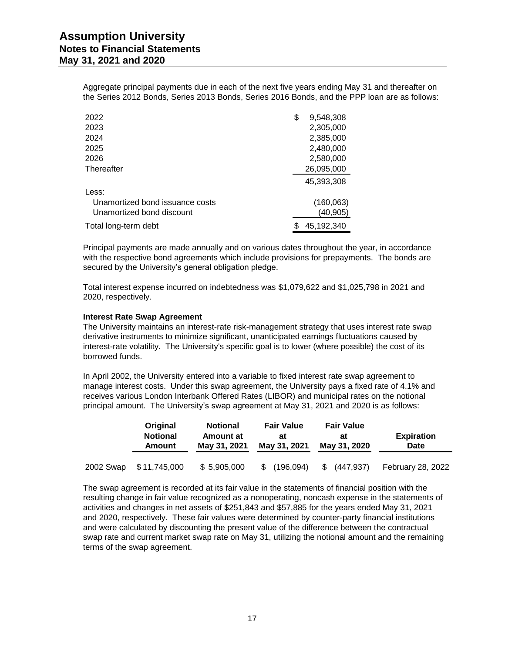Aggregate principal payments due in each of the next five years ending May 31 and thereafter on the Series 2012 Bonds, Series 2013 Bonds, Series 2016 Bonds, and the PPP loan are as follows:

| 2022                            | \$ | 9,548,308  |
|---------------------------------|----|------------|
| 2023                            |    | 2,305,000  |
| 2024                            |    | 2,385,000  |
| 2025                            |    | 2,480,000  |
| 2026                            |    | 2,580,000  |
| Thereafter                      |    | 26,095,000 |
|                                 |    | 45,393,308 |
| Less:                           |    |            |
| Unamortized bond issuance costs |    | (160, 063) |
| Unamortized bond discount       |    | (40,905)   |
| Total long-term debt            | S  | 45,192,340 |

Principal payments are made annually and on various dates throughout the year, in accordance with the respective bond agreements which include provisions for prepayments. The bonds are secured by the University's general obligation pledge.

Total interest expense incurred on indebtedness was \$1,079,622 and \$1,025,798 in 2021 and 2020, respectively.

#### **Interest Rate Swap Agreement**

The University maintains an interest-rate risk-management strategy that uses interest rate swap derivative instruments to minimize significant, unanticipated earnings fluctuations caused by interest-rate volatility. The University's specific goal is to lower (where possible) the cost of its borrowed funds.

In April 2002, the University entered into a variable to fixed interest rate swap agreement to manage interest costs. Under this swap agreement, the University pays a fixed rate of 4.1% and receives various London Interbank Offered Rates (LIBOR) and municipal rates on the notional principal amount. The University's swap agreement at May 31, 2021 and 2020 is as follows:

|           | Original<br><b>Notional</b><br><b>Amount</b> | <b>Notional</b><br><b>Amount at</b><br>May 31, 2021 | <b>Fair Value</b><br>at<br>May 31, 2021 | <b>Fair Value</b><br>at<br>May 31, 2020 | <b>Expiration</b><br>Date |
|-----------|----------------------------------------------|-----------------------------------------------------|-----------------------------------------|-----------------------------------------|---------------------------|
| 2002 Swap | \$ 11,745,000                                | \$5,905,000                                         | (196.094)<br>\$.                        | (447.937)<br>S.                         | February 28, 2022         |

The swap agreement is recorded at its fair value in the statements of financial position with the resulting change in fair value recognized as a nonoperating, noncash expense in the statements of activities and changes in net assets of \$251,843 and \$57,885 for the years ended May 31, 2021 and 2020, respectively. These fair values were determined by counter-party financial institutions and were calculated by discounting the present value of the difference between the contractual swap rate and current market swap rate on May 31, utilizing the notional amount and the remaining terms of the swap agreement.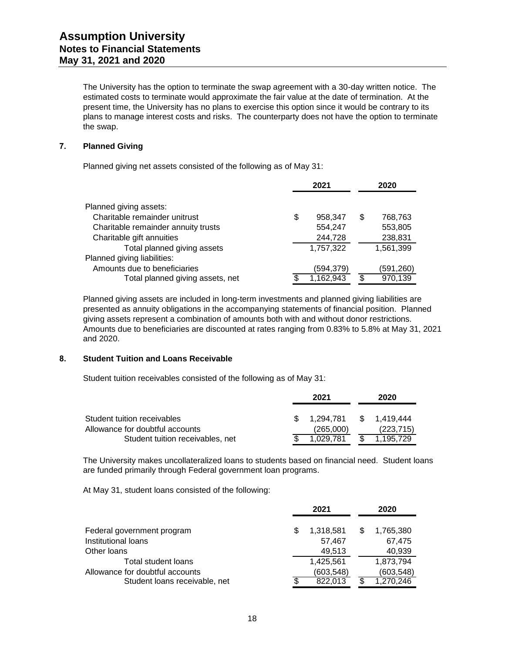The University has the option to terminate the swap agreement with a 30-day written notice. The estimated costs to terminate would approximate the fair value at the date of termination. At the present time, the University has no plans to exercise this option since it would be contrary to its plans to manage interest costs and risks. The counterparty does not have the option to terminate the swap.

### **7. Planned Giving**

Planned giving net assets consisted of the following as of May 31:

|                                     | 2021          |    | 2020      |
|-------------------------------------|---------------|----|-----------|
| Planned giving assets:              |               |    |           |
| Charitable remainder unitrust       | \$<br>958,347 | S  | 768,763   |
| Charitable remainder annuity trusts | 554,247       |    | 553,805   |
| Charitable gift annuities           | 244,728       |    | 238,831   |
| Total planned giving assets         | 1,757,322     |    | 1,561,399 |
| Planned giving liabilities:         |               |    |           |
| Amounts due to beneficiaries        | (594,379)     |    | (591,260) |
| Total planned giving assets, net    | 1,162,943     | \$ | 970,139   |

Planned giving assets are included in long-term investments and planned giving liabilities are presented as annuity obligations in the accompanying statements of financial position. Planned giving assets represent a combination of amounts both with and without donor restrictions. Amounts due to beneficiaries are discounted at rates ranging from 0.83% to 5.8% at May 31, 2021 and 2020.

#### **8. Student Tuition and Loans Receivable**

Student tuition receivables consisted of the following as of May 31:

|                                  | 2021      | 2020         |
|----------------------------------|-----------|--------------|
| Student tuition receivables      | 1.294.781 | \$ 1.419.444 |
| Allowance for doubtful accounts  | (265,000) | (223, 715)   |
| Student tuition receivables, net | 1.029.781 | 1.195.729    |

The University makes uncollateralized loans to students based on financial need. Student loans are funded primarily through Federal government loan programs.

At May 31, student loans consisted of the following:

|                                 | 2021      | 2020            |
|---------------------------------|-----------|-----------------|
| Federal government program      | 1,318,581 | \$<br>1,765,380 |
| Institutional loans             | 57,467    | 67,475          |
| Other Ioans                     | 49,513    | 40,939          |
| Total student loans             | 1,425,561 | 1,873,794       |
| Allowance for doubtful accounts | (603,548) | (603, 548)      |
| Student loans receivable, net   | 822,013   | 1,270,246       |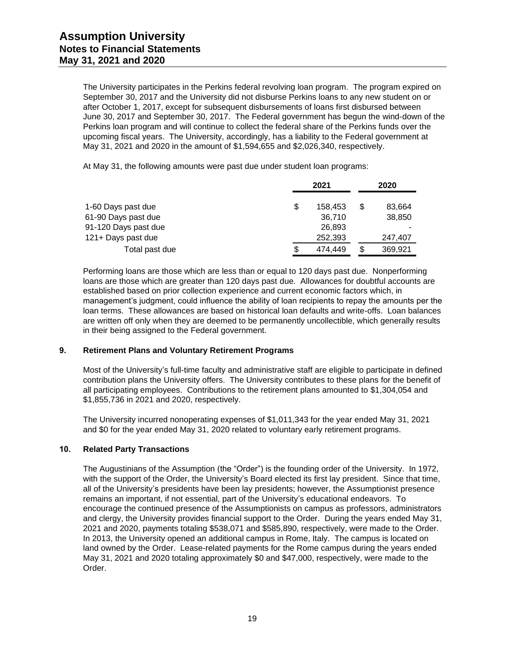The University participates in the Perkins federal revolving loan program. The program expired on September 30, 2017 and the University did not disburse Perkins loans to any new student on or after October 1, 2017, except for subsequent disbursements of loans first disbursed between June 30, 2017 and September 30, 2017. The Federal government has begun the wind-down of the Perkins loan program and will continue to collect the federal share of the Perkins funds over the upcoming fiscal years. The University, accordingly, has a liability to the Federal government at May 31, 2021 and 2020 in the amount of \$1,594,655 and \$2,026,340, respectively.

At May 31, the following amounts were past due under student loan programs:

|                      | 2021          | 2020          |
|----------------------|---------------|---------------|
| 1-60 Days past due   | \$<br>158.453 | \$<br>83,664  |
| 61-90 Days past due  | 36,710        | 38,850        |
| 91-120 Days past due | 26,893        | -             |
| 121+ Days past due   | 252,393       | 247,407       |
| Total past due       | 474.449       | \$<br>369,921 |

Performing loans are those which are less than or equal to 120 days past due. Nonperforming loans are those which are greater than 120 days past due. Allowances for doubtful accounts are established based on prior collection experience and current economic factors which, in management's judgment, could influence the ability of loan recipients to repay the amounts per the loan terms. These allowances are based on historical loan defaults and write-offs. Loan balances are written off only when they are deemed to be permanently uncollectible, which generally results in their being assigned to the Federal government.

## **9. Retirement Plans and Voluntary Retirement Programs**

Most of the University's full-time faculty and administrative staff are eligible to participate in defined contribution plans the University offers. The University contributes to these plans for the benefit of all participating employees. Contributions to the retirement plans amounted to \$1,304,054 and \$1,855,736 in 2021 and 2020, respectively.

The University incurred nonoperating expenses of \$1,011,343 for the year ended May 31, 2021 and \$0 for the year ended May 31, 2020 related to voluntary early retirement programs.

## **10. Related Party Transactions**

The Augustinians of the Assumption (the "Order") is the founding order of the University. In 1972, with the support of the Order, the University's Board elected its first lay president. Since that time, all of the University's presidents have been lay presidents; however, the Assumptionist presence remains an important, if not essential, part of the University's educational endeavors. To encourage the continued presence of the Assumptionists on campus as professors, administrators and clergy, the University provides financial support to the Order. During the years ended May 31, 2021 and 2020, payments totaling \$538,071 and \$585,890, respectively, were made to the Order. In 2013, the University opened an additional campus in Rome, Italy. The campus is located on land owned by the Order. Lease-related payments for the Rome campus during the years ended May 31, 2021 and 2020 totaling approximately \$0 and \$47,000, respectively, were made to the Order.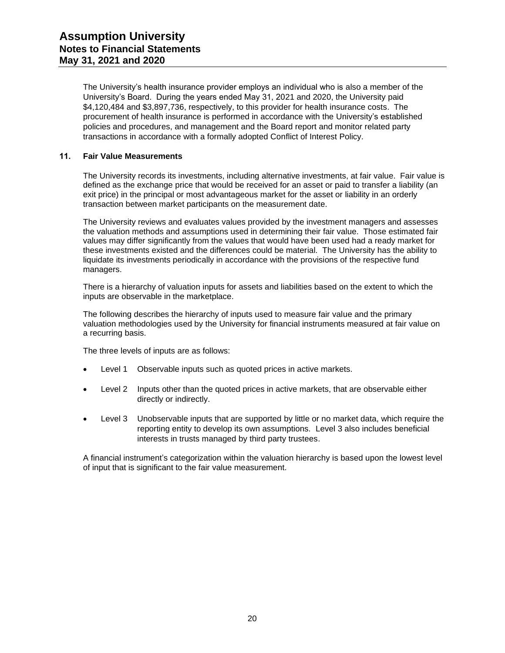The University's health insurance provider employs an individual who is also a member of the University's Board. During the years ended May 31, 2021 and 2020, the University paid \$4,120,484 and \$3,897,736, respectively, to this provider for health insurance costs. The procurement of health insurance is performed in accordance with the University's established policies and procedures, and management and the Board report and monitor related party transactions in accordance with a formally adopted Conflict of Interest Policy.

#### **11. Fair Value Measurements**

The University records its investments, including alternative investments, at fair value. Fair value is defined as the exchange price that would be received for an asset or paid to transfer a liability (an exit price) in the principal or most advantageous market for the asset or liability in an orderly transaction between market participants on the measurement date.

The University reviews and evaluates values provided by the investment managers and assesses the valuation methods and assumptions used in determining their fair value. Those estimated fair values may differ significantly from the values that would have been used had a ready market for these investments existed and the differences could be material. The University has the ability to liquidate its investments periodically in accordance with the provisions of the respective fund managers.

There is a hierarchy of valuation inputs for assets and liabilities based on the extent to which the inputs are observable in the marketplace.

The following describes the hierarchy of inputs used to measure fair value and the primary valuation methodologies used by the University for financial instruments measured at fair value on a recurring basis.

The three levels of inputs are as follows:

- Level 1 Observable inputs such as quoted prices in active markets.
- Level 2 Inputs other than the quoted prices in active markets, that are observable either directly or indirectly.
- Level 3 Unobservable inputs that are supported by little or no market data, which require the reporting entity to develop its own assumptions. Level 3 also includes beneficial interests in trusts managed by third party trustees.

A financial instrument's categorization within the valuation hierarchy is based upon the lowest level of input that is significant to the fair value measurement.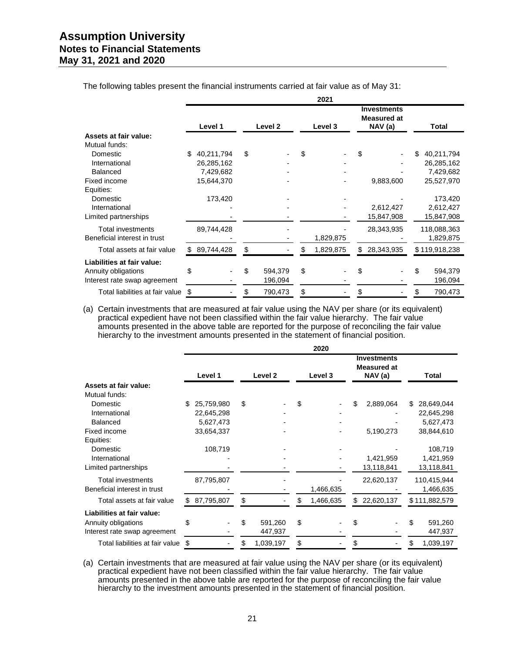|                                 |    |            |    |         | 2021      |    |                                                     |    |               |
|---------------------------------|----|------------|----|---------|-----------|----|-----------------------------------------------------|----|---------------|
|                                 |    | Level 1    |    | Level 2 | Level 3   |    | <b>Investments</b><br><b>Measured at</b><br>NAV (a) |    | Total         |
| Assets at fair value:           |    |            |    |         |           |    |                                                     |    |               |
| Mutual funds:                   |    |            |    |         |           |    |                                                     |    |               |
| Domestic                        | \$ | 40,211,794 | \$ |         | \$        | \$ |                                                     | \$ | 40,211,794    |
| International                   |    | 26,285,162 |    |         |           |    |                                                     |    | 26,285,162    |
| <b>Balanced</b>                 |    | 7,429,682  |    |         |           |    |                                                     |    | 7,429,682     |
| Fixed income                    |    | 15,644,370 |    |         |           |    | 9,883,600                                           |    | 25,527,970    |
| Equities:                       |    |            |    |         |           |    |                                                     |    |               |
| Domestic                        |    | 173,420    |    |         |           |    |                                                     |    | 173,420       |
| International                   |    |            |    |         |           |    | 2,612,427                                           |    | 2,612,427     |
| Limited partnerships            |    |            |    |         |           |    | 15,847,908                                          |    | 15,847,908    |
| Total investments               |    | 89,744,428 |    |         |           |    | 28,343,935                                          |    | 118,088,363   |
| Beneficial interest in trust    |    |            |    |         | 1,829,875 |    |                                                     |    | 1,829,875     |
| Total assets at fair value      | S  | 89,744,428 | \$ |         | 1,829,875 | S  | 28,343,935                                          |    | \$119,918,238 |
| Liabilities at fair value:      |    |            |    |         |           |    |                                                     |    |               |
| Annuity obligations             | \$ |            | S  | 594,379 | \$        | \$ |                                                     | S  | 594,379       |
| Interest rate swap agreement    |    |            |    | 196,094 |           |    |                                                     |    | 196,094       |
| Total liabilities at fair value | \$ |            | \$ | 790,473 | \$        | \$ |                                                     | \$ | 790,473       |

The following tables present the financial instruments carried at fair value as of May 31:

(a) Certain investments that are measured at fair value using the NAV per share (or its equivalent) practical expedient have not been classified within the fair value hierarchy. The fair value amounts presented in the above table are reported for the purpose of reconciling the fair value hierarchy to the investment amounts presented in the statement of financial position.

|                                 |     |            |     |                    | 2020            |                                              |    |               |
|---------------------------------|-----|------------|-----|--------------------|-----------------|----------------------------------------------|----|---------------|
|                                 |     | Level 1    |     | Level <sub>2</sub> | Level 3         | <b>Investments</b><br>Measured at<br>NAV (a) |    | Total         |
| Assets at fair value:           |     |            |     |                    |                 |                                              |    |               |
| Mutual funds:                   |     |            |     |                    |                 |                                              |    |               |
| Domestic                        | \$. | 25,759,980 | \$  |                    | \$              | \$<br>2,889,064                              | S  | 28,649,044    |
| International                   |     | 22,645,298 |     |                    |                 |                                              |    | 22,645,298    |
| <b>Balanced</b>                 |     | 5,627,473  |     |                    |                 |                                              |    | 5,627,473     |
| Fixed income                    |     | 33,654,337 |     |                    |                 | 5,190,273                                    |    | 38,844,610    |
| Equities:                       |     |            |     |                    |                 |                                              |    |               |
| Domestic                        |     | 108,719    |     |                    |                 |                                              |    | 108,719       |
| International                   |     |            |     |                    |                 | 1,421,959                                    |    | 1,421,959     |
| Limited partnerships            |     |            |     |                    |                 | 13,118,841                                   |    | 13,118,841    |
| <b>Total investments</b>        |     | 87,795,807 |     |                    |                 | 22,620,137                                   |    | 110,415,944   |
| Beneficial interest in trust    |     |            |     |                    | 1,466,635       |                                              |    | 1,466,635     |
| Total assets at fair value      | \$  | 87,795,807 | \$  |                    | \$<br>1,466,635 | \$<br>22,620,137                             |    | \$111,882,579 |
| Liabilities at fair value:      |     |            |     |                    |                 |                                              |    |               |
| Annuity obligations             | \$  |            | \$. | 591,260            | \$              | \$                                           | S  | 591,260       |
| Interest rate swap agreement    |     |            |     | 447,937            |                 |                                              |    | 447,937       |
| Total liabilities at fair value | \$. |            | \$  | 1,039,197          | \$              | \$                                           | \$ | 1,039,197     |

(a) Certain investments that are measured at fair value using the NAV per share (or its equivalent) practical expedient have not been classified within the fair value hierarchy. The fair value amounts presented in the above table are reported for the purpose of reconciling the fair value hierarchy to the investment amounts presented in the statement of financial position.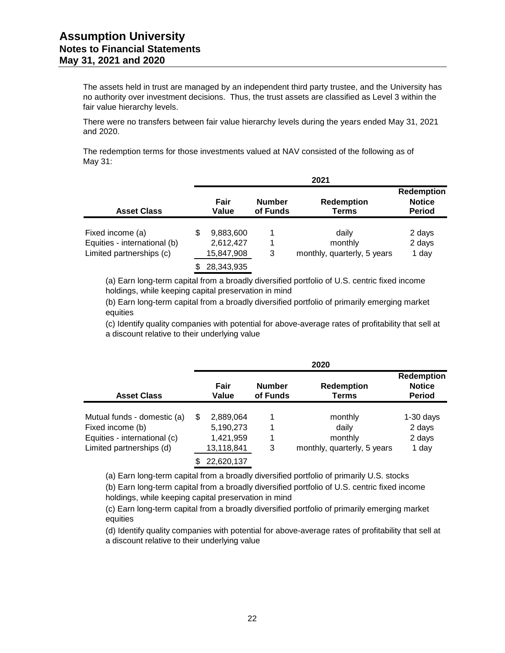The assets held in trust are managed by an independent third party trustee, and the University has no authority over investment decisions. Thus, the trust assets are classified as Level 3 within the fair value hierarchy levels.

There were no transfers between fair value hierarchy levels during the years ended May 31, 2021 and 2020.

The redemption terms for those investments valued at NAV consisted of the following as of May 31:

|                                                  |   | 2021                   |                           |                             |                                                     |  |  |  |
|--------------------------------------------------|---|------------------------|---------------------------|-----------------------------|-----------------------------------------------------|--|--|--|
| <b>Asset Class</b>                               |   | Fair<br>Value          | <b>Number</b><br>of Funds | <b>Redemption</b><br>Terms  | <b>Redemption</b><br><b>Notice</b><br><b>Period</b> |  |  |  |
| Fixed income (a)<br>Equities - international (b) | S | 9,883,600<br>2,612,427 |                           | daily<br>monthly            | 2 days<br>2 days                                    |  |  |  |
| Limited partnerships (c)                         |   | 15,847,908             | 3                         | monthly, quarterly, 5 years | 1 day                                               |  |  |  |
|                                                  | S | 28.343.935             |                           |                             |                                                     |  |  |  |

(a) Earn long-term capital from a broadly diversified portfolio of U.S. centric fixed income holdings, while keeping capital preservation in mind

(b) Earn long-term capital from a broadly diversified portfolio of primarily emerging market equities

(c) Identify quality companies with potential for above-average rates of profitability that sell at a discount relative to their underlying value

|                              |     |               | 2020                      |                             |                                                     |
|------------------------------|-----|---------------|---------------------------|-----------------------------|-----------------------------------------------------|
| <b>Asset Class</b>           |     | Fair<br>Value | <b>Number</b><br>of Funds | <b>Redemption</b><br>Terms  | <b>Redemption</b><br><b>Notice</b><br><b>Period</b> |
| Mutual funds - domestic (a)  | \$. | 2,889,064     |                           | monthly                     | $1-30$ days                                         |
| Fixed income (b)             |     | 5,190,273     | 1                         | daily                       | 2 days                                              |
| Equities - international (c) |     | 1,421,959     | 1                         | monthly                     | 2 days                                              |
| Limited partnerships (d)     |     | 13,118,841    | 3                         | monthly, quarterly, 5 years | 1 day                                               |
|                              |     | 22,620,137    |                           |                             |                                                     |

(a) Earn long-term capital from a broadly diversified portfolio of primarily U.S. stocks

(b) Earn long-term capital from a broadly diversified portfolio of U.S. centric fixed income holdings, while keeping capital preservation in mind

(c) Earn long-term capital from a broadly diversified portfolio of primarily emerging market equities

(d) Identify quality companies with potential for above-average rates of profitability that sell at a discount relative to their underlying value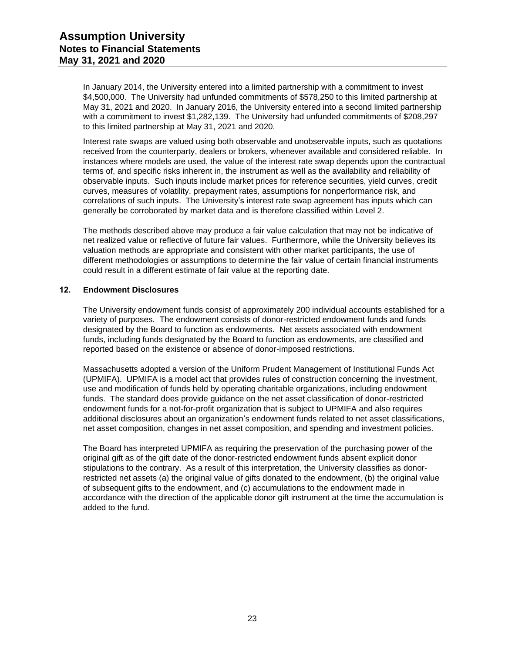In January 2014, the University entered into a limited partnership with a commitment to invest \$4,500,000. The University had unfunded commitments of \$578,250 to this limited partnership at May 31, 2021 and 2020. In January 2016, the University entered into a second limited partnership with a commitment to invest \$1,282,139. The University had unfunded commitments of \$208,297 to this limited partnership at May 31, 2021 and 2020.

Interest rate swaps are valued using both observable and unobservable inputs, such as quotations received from the counterparty, dealers or brokers, whenever available and considered reliable. In instances where models are used, the value of the interest rate swap depends upon the contractual terms of, and specific risks inherent in, the instrument as well as the availability and reliability of observable inputs. Such inputs include market prices for reference securities, yield curves, credit curves, measures of volatility, prepayment rates, assumptions for nonperformance risk, and correlations of such inputs. The University's interest rate swap agreement has inputs which can generally be corroborated by market data and is therefore classified within Level 2.

The methods described above may produce a fair value calculation that may not be indicative of net realized value or reflective of future fair values. Furthermore, while the University believes its valuation methods are appropriate and consistent with other market participants, the use of different methodologies or assumptions to determine the fair value of certain financial instruments could result in a different estimate of fair value at the reporting date.

## **12. Endowment Disclosures**

The University endowment funds consist of approximately 200 individual accounts established for a variety of purposes. The endowment consists of donor-restricted endowment funds and funds designated by the Board to function as endowments. Net assets associated with endowment funds, including funds designated by the Board to function as endowments, are classified and reported based on the existence or absence of donor-imposed restrictions.

Massachusetts adopted a version of the Uniform Prudent Management of Institutional Funds Act (UPMIFA). UPMIFA is a model act that provides rules of construction concerning the investment, use and modification of funds held by operating charitable organizations, including endowment funds. The standard does provide guidance on the net asset classification of donor-restricted endowment funds for a not-for-profit organization that is subject to UPMIFA and also requires additional disclosures about an organization's endowment funds related to net asset classifications, net asset composition, changes in net asset composition, and spending and investment policies.

The Board has interpreted UPMIFA as requiring the preservation of the purchasing power of the original gift as of the gift date of the donor-restricted endowment funds absent explicit donor stipulations to the contrary. As a result of this interpretation, the University classifies as donorrestricted net assets (a) the original value of gifts donated to the endowment, (b) the original value of subsequent gifts to the endowment, and (c) accumulations to the endowment made in accordance with the direction of the applicable donor gift instrument at the time the accumulation is added to the fund.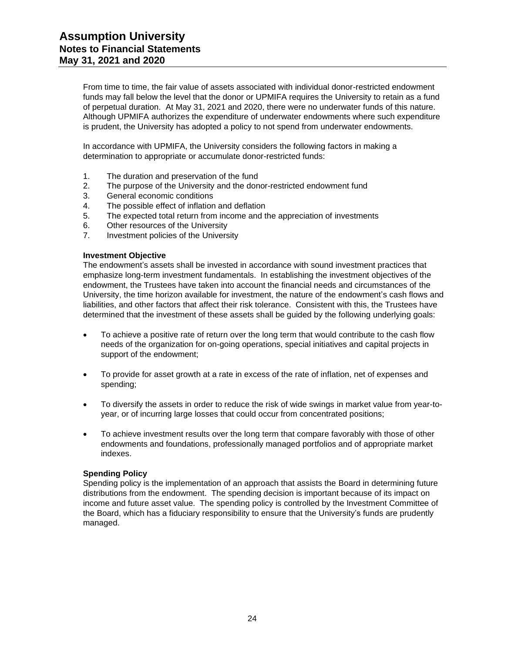From time to time, the fair value of assets associated with individual donor-restricted endowment funds may fall below the level that the donor or UPMIFA requires the University to retain as a fund of perpetual duration. At May 31, 2021 and 2020, there were no underwater funds of this nature. Although UPMIFA authorizes the expenditure of underwater endowments where such expenditure is prudent, the University has adopted a policy to not spend from underwater endowments.

In accordance with UPMIFA, the University considers the following factors in making a determination to appropriate or accumulate donor-restricted funds:

- 1. The duration and preservation of the fund
- 2. The purpose of the University and the donor-restricted endowment fund
- 3. General economic conditions
- 4. The possible effect of inflation and deflation
- 5. The expected total return from income and the appreciation of investments
- 6. Other resources of the University
- 7. Investment policies of the University

### **Investment Objective**

The endowment's assets shall be invested in accordance with sound investment practices that emphasize long-term investment fundamentals. In establishing the investment objectives of the endowment, the Trustees have taken into account the financial needs and circumstances of the University, the time horizon available for investment, the nature of the endowment's cash flows and liabilities, and other factors that affect their risk tolerance. Consistent with this, the Trustees have determined that the investment of these assets shall be guided by the following underlying goals:

- To achieve a positive rate of return over the long term that would contribute to the cash flow needs of the organization for on-going operations, special initiatives and capital projects in support of the endowment;
- To provide for asset growth at a rate in excess of the rate of inflation, net of expenses and spending;
- To diversify the assets in order to reduce the risk of wide swings in market value from year-toyear, or of incurring large losses that could occur from concentrated positions;
- To achieve investment results over the long term that compare favorably with those of other endowments and foundations, professionally managed portfolios and of appropriate market indexes.

#### **Spending Policy**

Spending policy is the implementation of an approach that assists the Board in determining future distributions from the endowment. The spending decision is important because of its impact on income and future asset value. The spending policy is controlled by the Investment Committee of the Board, which has a fiduciary responsibility to ensure that the University's funds are prudently managed.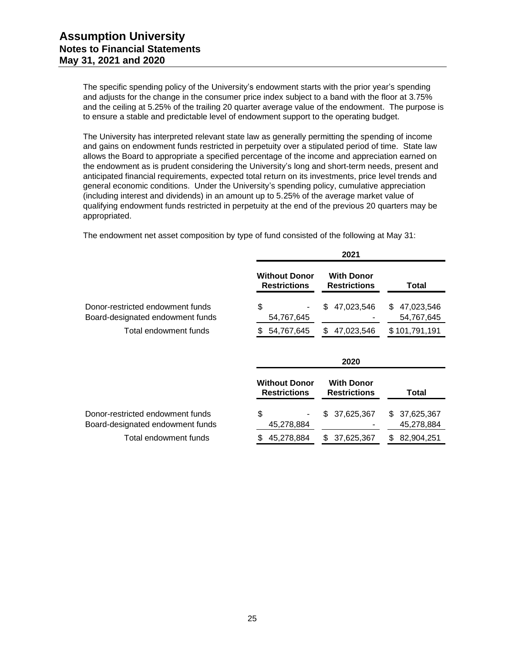The specific spending policy of the University's endowment starts with the prior year's spending and adjusts for the change in the consumer price index subject to a band with the floor at 3.75% and the ceiling at 5.25% of the trailing 20 quarter average value of the endowment. The purpose is to ensure a stable and predictable level of endowment support to the operating budget.

The University has interpreted relevant state law as generally permitting the spending of income and gains on endowment funds restricted in perpetuity over a stipulated period of time. State law allows the Board to appropriate a specified percentage of the income and appreciation earned on the endowment as is prudent considering the University's long and short-term needs, present and anticipated financial requirements, expected total return on its investments, price level trends and general economic conditions. Under the University's spending policy, cumulative appreciation (including interest and dividends) in an amount up to 5.25% of the average market value of qualifying endowment funds restricted in perpetuity at the end of the previous 20 quarters may be appropriated.

The endowment net asset composition by type of fund consisted of the following at May 31:

|                                                                      |                                             | 2021                                     |                                 |
|----------------------------------------------------------------------|---------------------------------------------|------------------------------------------|---------------------------------|
|                                                                      | <b>Without Donor</b><br><b>Restrictions</b> | <b>With Donor</b><br><b>Restrictions</b> | Total                           |
| Donor-restricted endowment funds<br>Board-designated endowment funds | \$<br>54,767,645                            | 47,023,546<br>S                          | 47,023,546<br>\$.<br>54,767,645 |
| Total endowment funds                                                | 54,767,645                                  | 47,023,546<br>S                          | \$101,791,191                   |
|                                                                      |                                             | 2020                                     |                                 |
|                                                                      | <b>Without Donor</b><br><b>Restrictions</b> | <b>With Donor</b><br><b>Restrictions</b> | Total                           |
| Donor-restricted endowment funds<br>Board-designated endowment funds | \$<br>45,278,884                            | \$.<br>37,625,367                        | 37,625,367<br>\$.<br>45,278,884 |
| Total endowment funds                                                | 45,278,884<br>S                             | 37,625,367<br>S                          | 82,904,251<br>S                 |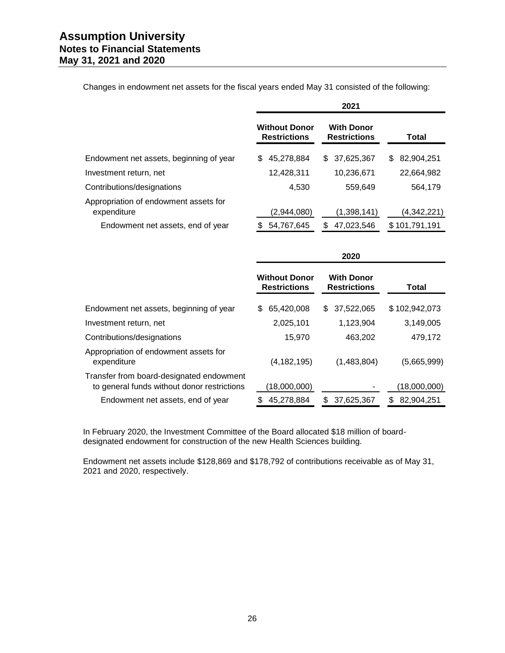|                                                                                           | 2021                                        |                                          |                              |  |  |  |
|-------------------------------------------------------------------------------------------|---------------------------------------------|------------------------------------------|------------------------------|--|--|--|
|                                                                                           | <b>Without Donor</b><br><b>Restrictions</b> | <b>With Donor</b><br><b>Restrictions</b> | Total                        |  |  |  |
| Endowment net assets, beginning of year                                                   | 45,278,884<br>S                             | 37,625,367<br>S.                         | 82,904,251<br>S              |  |  |  |
| Investment return, net                                                                    | 12.428.311                                  | 10.236.671                               | 22,664,982                   |  |  |  |
| Contributions/designations                                                                | 4,530                                       | 559,649                                  | 564,179                      |  |  |  |
| Appropriation of endowment assets for<br>expenditure<br>Endowment net assets, end of year | (2,944,080)<br>54,767,645                   | (1,398,141)<br>47,023,546<br>S           | (4,342,221)<br>\$101,791,191 |  |  |  |

Changes in endowment net assets for the fiscal years ended May 31 consisted of the following:

|                                                                                         | 2020                                        |                                          |                 |  |  |
|-----------------------------------------------------------------------------------------|---------------------------------------------|------------------------------------------|-----------------|--|--|
|                                                                                         | <b>Without Donor</b><br><b>Restrictions</b> | <b>With Donor</b><br><b>Restrictions</b> | Total           |  |  |
| Endowment net assets, beginning of year                                                 | 65,420,008<br>S.                            | 37.522.065<br>\$.                        | \$102,942,073   |  |  |
| Investment return, net                                                                  | 2,025,101                                   | 1,123,904                                | 3,149,005       |  |  |
| Contributions/designations                                                              | 15,970                                      | 463,202                                  | 479,172         |  |  |
| Appropriation of endowment assets for<br>expenditure                                    | (4, 182, 195)                               | (1,483,804)                              | (5,665,999)     |  |  |
| Transfer from board-designated endowment<br>to general funds without donor restrictions | (18,000,000)                                |                                          | (18,000,000)    |  |  |
| Endowment net assets, end of year                                                       | 45.278.884                                  | 37.625.367<br>S                          | 82,904,251<br>S |  |  |

In February 2020, the Investment Committee of the Board allocated \$18 million of boarddesignated endowment for construction of the new Health Sciences building.

Endowment net assets include \$128,869 and \$178,792 of contributions receivable as of May 31, 2021 and 2020, respectively.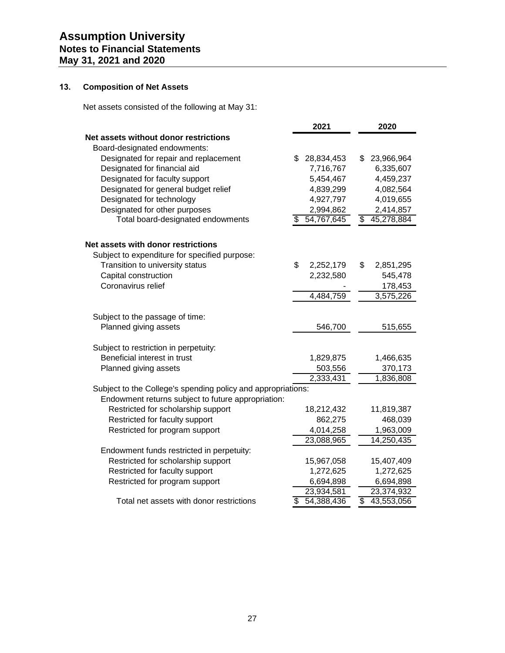# **13. Composition of Net Assets**

Net assets consisted of the following at May 31:

|                                                              | 2021              | 2020                                  |
|--------------------------------------------------------------|-------------------|---------------------------------------|
| Net assets without donor restrictions                        |                   |                                       |
| Board-designated endowments:                                 |                   |                                       |
| Designated for repair and replacement                        | \$.<br>28,834,453 | 23,966,964<br>S                       |
| Designated for financial aid                                 | 7,716,767         | 6,335,607                             |
| Designated for faculty support                               | 5,454,467         | 4,459,237                             |
| Designated for general budget relief                         | 4,839,299         | 4,082,564                             |
| Designated for technology                                    | 4,927,797         | 4,019,655                             |
| Designated for other purposes                                | 2,994,862         | 2,414,857                             |
| Total board-designated endowments                            | 54,767,645        | $\overline{\mathbb{S}}$<br>45,278,884 |
| Net assets with donor restrictions                           |                   |                                       |
| Subject to expenditure for specified purpose:                |                   |                                       |
| Transition to university status                              | \$<br>2,252,179   | \$<br>2,851,295                       |
| Capital construction                                         | 2,232,580         | 545,478                               |
| Coronavirus relief                                           |                   | 178,453                               |
|                                                              | 4,484,759         | 3,575,226                             |
|                                                              |                   |                                       |
| Subject to the passage of time:                              |                   |                                       |
| Planned giving assets                                        | 546,700           | 515,655                               |
|                                                              |                   |                                       |
| Subject to restriction in perpetuity:                        |                   |                                       |
| Beneficial interest in trust                                 | 1,829,875         | 1,466,635                             |
| Planned giving assets                                        | 503,556           | 370,173                               |
|                                                              | 2,333,431         | 1,836,808                             |
| Subject to the College's spending policy and appropriations: |                   |                                       |
| Endowment returns subject to future appropriation:           |                   |                                       |
| Restricted for scholarship support                           | 18,212,432        | 11,819,387                            |
| Restricted for faculty support                               | 862,275           | 468,039                               |
| Restricted for program support                               | 4,014,258         | 1,963,009                             |
|                                                              | 23,088,965        | 14,250,435                            |
| Endowment funds restricted in perpetuity:                    |                   |                                       |
| Restricted for scholarship support                           | 15,967,058        | 15,407,409                            |
| Restricted for faculty support                               | 1,272,625         | 1,272,625                             |
| Restricted for program support                               | 6,694,898         | 6,694,898                             |
|                                                              | 23,934,581        | 23,374,932                            |
| Total net assets with donor restrictions                     | 54,388,436<br>\$  | \$<br>43,553,056                      |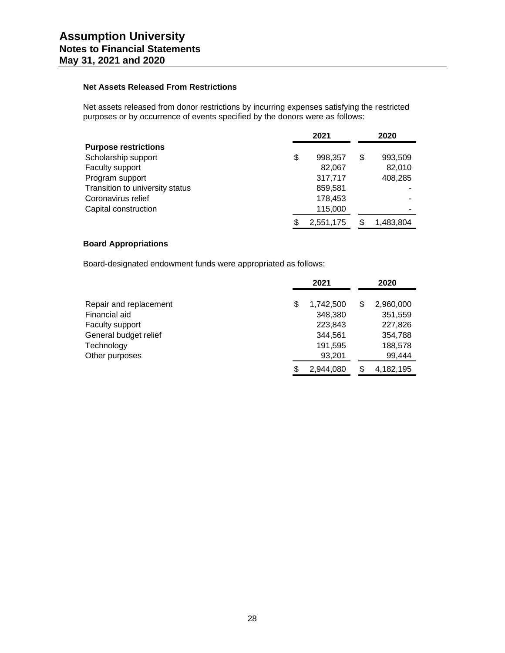# **Net Assets Released From Restrictions**

Net assets released from donor restrictions by incurring expenses satisfying the restricted purposes or by occurrence of events specified by the donors were as follows:

|                                 | 2021          | 2020          |
|---------------------------------|---------------|---------------|
| <b>Purpose restrictions</b>     |               |               |
| Scholarship support             | \$<br>998.357 | \$<br>993,509 |
| Faculty support                 | 82,067        | 82,010        |
| Program support                 | 317,717       | 408,285       |
| Transition to university status | 859,581       |               |
| Coronavirus relief              | 178,453       |               |
| Capital construction            | 115,000       |               |
|                                 | 2,551,175     | 1,483,804     |

### **Board Appropriations**

Board-designated endowment funds were appropriated as follows:

|                        | 2021 |           | 2020 |           |
|------------------------|------|-----------|------|-----------|
| Repair and replacement | S    | 1,742,500 | \$   | 2,960,000 |
| Financial aid          |      | 348,380   |      | 351,559   |
| Faculty support        |      | 223,843   |      | 227,826   |
| General budget relief  |      | 344,561   |      | 354,788   |
| Technology             |      | 191.595   |      | 188,578   |
| Other purposes         |      | 93,201    |      | 99,444    |
|                        | S    | 2,944,080 | S    | 4,182,195 |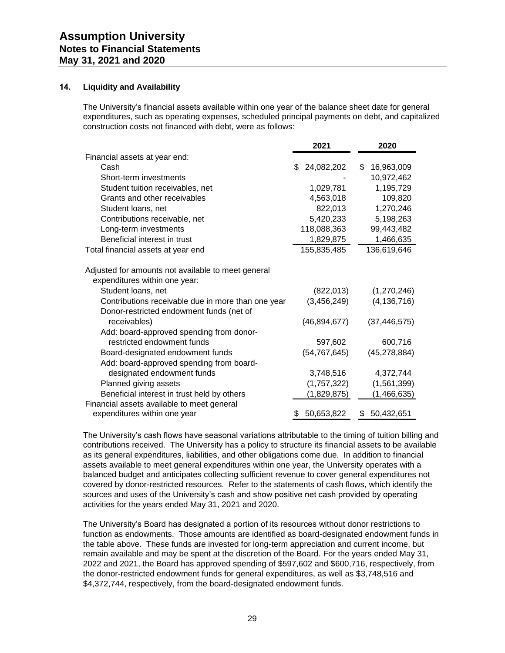#### **14. Liquidity and Availability**

The University's financial assets available within one year of the balance sheet date for general expenditures, such as operating expenses, scheduled principal payments on debt, and capitalized construction costs not financed with debt, were as follows:

|                                                    | 2021             | 2020              |
|----------------------------------------------------|------------------|-------------------|
| Financial assets at year end:                      |                  |                   |
| Cash                                               | 24,082,202<br>\$ | \$<br>16,963,009  |
| Short-term investments                             |                  | 10,972,462        |
| Student tuition receivables, net                   | 1,029,781        | 1,195,729         |
| Grants and other receivables                       | 4,563,018        | 109,820           |
| Student loans, net                                 | 822,013          | 1,270,246         |
| Contributions receivable, net                      | 5,420,233        | 5,198,263         |
| Long-term investments                              | 118,088,363      | 99,443,482        |
| Beneficial interest in trust                       | 1,829,875        | 1,466,635         |
| Total financial assets at year end                 | 155,835,485      | 136,619,646       |
| Adjusted for amounts not available to meet general |                  |                   |
| expenditures within one year:                      |                  |                   |
| Student Ioans, net                                 | (822, 013)       | (1,270,246)       |
| Contributions receivable due in more than one year | (3,456,249)      | (4, 136, 716)     |
| Donor-restricted endowment funds (net of           |                  |                   |
| receivables)                                       | (46, 894, 677)   | (37, 446, 575)    |
| Add: board-approved spending from donor-           |                  |                   |
| restricted endowment funds                         | 597,602          | 600,716           |
| Board-designated endowment funds                   | (54, 767, 645)   | (45, 278, 884)    |
| Add: board-approved spending from board-           |                  |                   |
| designated endowment funds                         | 3,748,516        | 4,372,744         |
| Planned giving assets                              | (1,757,322)      | (1,561,399)       |
| Beneficial interest in trust held by others        | (1,829,875)      | (1,466,635)       |
| Financial assets available to meet general         |                  |                   |
| expenditures within one year                       | 50,653,822<br>S  | 50,432,651<br>\$. |

The University's cash flows have seasonal variations attributable to the timing of tuition billing and contributions received. The University has a policy to structure its financial assets to be available as its general expenditures, liabilities, and other obligations come due. In addition to financial assets available to meet general expenditures within one year, the University operates with a balanced budget and anticipates collecting sufficient revenue to cover general expenditures not covered by donor-restricted resources. Refer to the statements of cash flows, which identify the sources and uses of the University's cash and show positive net cash provided by operating activities for the years ended May 31, 2021 and 2020.

The University's Board has designated a portion of its resources without donor restrictions to function as endowments. Those amounts are identified as board-designated endowment funds in the table above. These funds are invested for long-term appreciation and current income, but remain available and may be spent at the discretion of the Board. For the years ended May 31, 2022 and 2021, the Board has approved spending of \$597,602 and \$600,716, respectively, from the donor-restricted endowment funds for general expenditures, as well as \$3,748,516 and \$4,372,744, respectively, from the board-designated endowment funds.